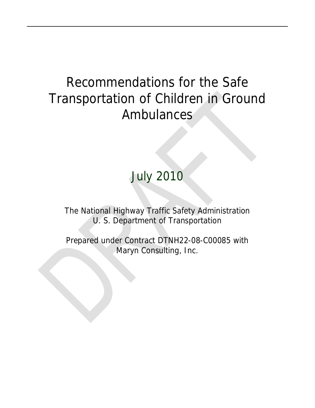# July 2010

The National Highway Traffic Safety Administration U. S. Department of Transportation

Prepared under Contract DTNH22-08-C00085 with Maryn Consulting, Inc.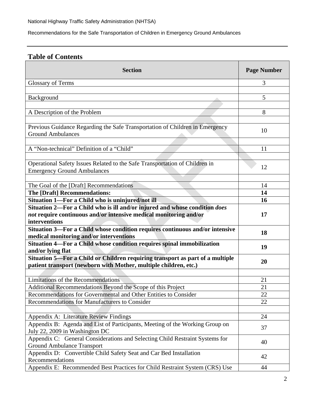# **Table of Contents Section Page Number 2018** Glossary of Terms 3 Background 5 A Description of the Problem 8 Previous Guidance Regarding the Safe Transportation of Children in Emergency 10<br>Ground Ambulances A "Non-technical" Definition of a "Child" 11 Operational Safety Issues Related to the Safe Transportation of Children in Emergency Ground Ambulances<br>Emergency Ground Ambulances The Goal of the [Draft] Recommendations 14 **The [Draft] Recommendations:** 14 **Situation 1—For a Child who is uninjured/not ill 16**  16 **Situation 2—For a Child who is ill and/or injured and whose condition** *does not* **require continuous and/or intensive medical monitoring and/or interventions 17 Situation 3—For a Child whose condition requires continuous and/or intensive medical monitoring and/or interventions <sup>18</sup> Situation 4—For a Child whose condition requires spinal immobilization and/or lying flat <sup>19</sup> Situation 5—For a Child or Children requiring transport as part of a multiple**  patient transport (newborn with Mother, multiple children, etc.) **20** Limitations of the Recommendations 21 Additional Recommendations Beyond the Scope of this Project 21 Recommendations for Governmental and Other Entities to Consider 22 Recommendations for Manufacturers to Consider 22 Appendix A: Literature Review Findings 24 Appendix B: Agenda and List of Participants, Meeting of the Working Group on Appendix B. Agenda and Eist of Farticipants, Meeting of the Working Group on 37<br>July 22, 2009 in Washington DC Appendix C: General Considerations and Selecting Child Restraint Systems for Ground Ambulance Transport 40 Appendix D: Convertible Child Safety Seat and Car Bed Installation Recommendations <sup>42</sup> Appendix E: Recommended Best Practices for Child Restraint System (CRS) Use 44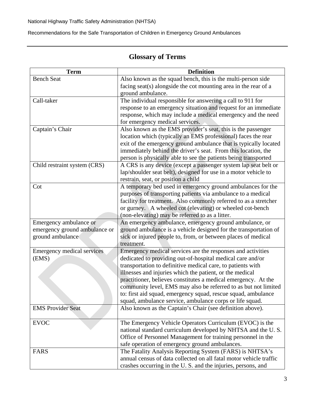# **Glossary of Terms**

| <b>Term</b>                   | <b>Definition</b>                                                                                                           |
|-------------------------------|-----------------------------------------------------------------------------------------------------------------------------|
| <b>Bench Seat</b>             | Also known as the squad bench, this is the multi-person side                                                                |
|                               | facing seat(s) alongside the cot mounting area in the rear of a                                                             |
|                               | ground ambulance.                                                                                                           |
| Call-taker                    | The individual responsible for answering a call to 911 for                                                                  |
|                               | response to an emergency situation and request for an immediate                                                             |
|                               | response, which may include a medical emergency and the need                                                                |
|                               | for emergency medical services.                                                                                             |
| Captain's Chair               | Also known as the EMS provider's seat, this is the passenger                                                                |
|                               | location which (typically an EMS professional) faces the rear                                                               |
|                               | exit of the emergency ground ambulance that is typically located                                                            |
|                               | immediately behind the driver's seat. From this location, the                                                               |
|                               | person is physically able to see the patients being transported                                                             |
| Child restraint system (CRS)  | A CRS is any device (except a passenger system lap seat belt or                                                             |
|                               | lap/shoulder seat belt), designed for use in a motor vehicle to                                                             |
|                               | restrain, seat, or position a child                                                                                         |
| Cot                           | A temporary bed used in emergency ground ambulances for the<br>purposes of transporting patients via ambulance to a medical |
|                               | facility for treatment. Also commonly referred to as a stretcher                                                            |
|                               | or gurney. A wheeled cot (elevating) or wheeled cot-bench                                                                   |
|                               | (non-elevating) may be referred to as a litter.                                                                             |
| Emergency ambulance or        | An emergency ambulance, emergency ground ambulance, or                                                                      |
| emergency ground ambulance or | ground ambulance is a vehicle designed for the transportation of                                                            |
| ground ambulance              | sick or injured people to, from, or between places of medical                                                               |
|                               | treatment.                                                                                                                  |
| Emergency medical services    | Emergency medical services are the responses and activities                                                                 |
| (EMS)                         | dedicated to providing out-of-hospital medical care and/or                                                                  |
|                               | transportation to definitive medical care, to patients with                                                                 |
|                               | illnesses and injuries which the patient, or the medical                                                                    |
|                               | practitioner, believes constitutes a medical emergency. At the                                                              |
|                               | community level, EMS may also be referred to as but not limited                                                             |
|                               | to: first aid squad, emergency squad, rescue squad, ambulance                                                               |
|                               | squad, ambulance service, ambulance corps or life squad.                                                                    |
| <b>EMS Provider Seat</b>      | Also known as the Captain's Chair (see definition above).                                                                   |
| <b>EVOC</b>                   | The Emergency Vehicle Operators Curriculum (EVOC) is the                                                                    |
|                               | national standard curriculum developed by NHTSA and the U.S.                                                                |
|                               | Office of Personnel Management for training personnel in the                                                                |
|                               | safe operation of emergency ground ambulances.                                                                              |
| FARS                          | The Fatality Analysis Reporting System (FARS) is NHTSA's                                                                    |
|                               | annual census of data collected on all fatal motor vehicle traffic                                                          |
|                               | crashes occurring in the U.S. and the injuries, persons, and                                                                |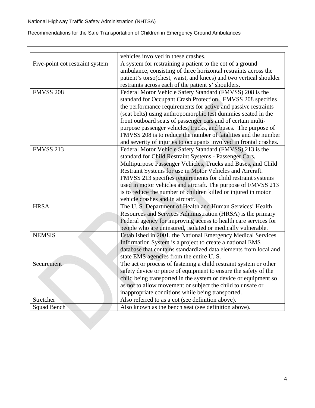|                                 | vehicles involved in these crashes.                                |
|---------------------------------|--------------------------------------------------------------------|
| Five-point cot restraint system | A system for restraining a patient to the cot of a ground          |
|                                 | ambulance, consisting of three horizontal restraints across the    |
|                                 | patient's torso(chest, waist, and knees) and two vertical shoulder |
|                                 | restraints across each of the patient's' shoulders.                |
| <b>FMVSS 208</b>                | Federal Motor Vehicle Safety Standard (FMVSS) 208 is the           |
|                                 | standard for Occupant Crash Protection. FMVSS 208 specifies        |
|                                 | the performance requirements for active and passive restraints     |
|                                 | (seat belts) using anthropomorphic test dummies seated in the      |
|                                 | front outboard seats of passenger cars and of certain multi-       |
|                                 | purpose passenger vehicles, trucks, and buses. The purpose of      |
|                                 | FMVSS 208 is to reduce the number of fatalities and the number     |
|                                 | and severity of injuries to occupants involved in frontal crashes. |
| <b>FMVSS 213</b>                | Federal Motor Vehicle Safety Standard (FMVSS) 213 is the           |
|                                 | standard for Child Restraint Systems - Passenger Cars,             |
|                                 | Multipurpose Passenger Vehicles, Trucks and Buses, and Child       |
|                                 | Restraint Systems for use in Motor Vehicles and Aircraft.          |
|                                 | FMVSS 213 specifies requirements for child restraint systems       |
|                                 | used in motor vehicles and aircraft. The purpose of FMVSS 213      |
|                                 | is to reduce the number of children killed or injured in motor     |
|                                 | vehicle crashes and in aircraft.                                   |
| <b>HRSA</b>                     | The U.S. Department of Health and Human Services' Health           |
|                                 | Resources and Services Administration (HRSA) is the primary        |
|                                 | Federal agency for improving access to health care services for    |
|                                 | people who are uninsured, isolated or medically vulnerable.        |
| <b>NEMSIS</b>                   | Established in 2001, the National Emergency Medical Services       |
|                                 | Information System is a project to create a national EMS           |
|                                 | database that contains standardized data elements from local and   |
|                                 | state EMS agencies from the entire U.S.                            |
| Securement                      | The act or process of fastening a child restraint system or other  |
|                                 | safety device or piece of equipment to ensure the safety of the    |
|                                 | child being transported in the system or device or equipment so    |
|                                 | as not to allow movement or subject the child to unsafe or         |
|                                 | inappropriate conditions while being transported.                  |
| Stretcher                       | Also referred to as a cot (see definition above).                  |
| <b>Squad Bench</b>              | Also known as the bench seat (see definition above).               |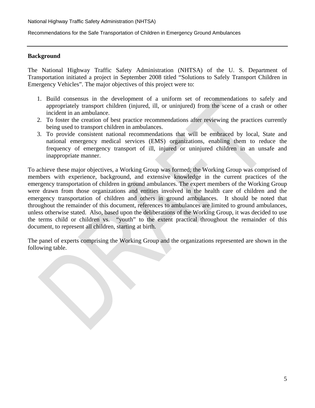### **Background**

The National Highway Traffic Safety Administration (NHTSA) of the U. S. Department of Transportation initiated a project in September 2008 titled "Solutions to Safely Transport Children in Emergency Vehicles". The major objectives of this project were to:

- 1. Build consensus in the development of a uniform set of recommendations to safely and appropriately transport children (injured, ill, or uninjured) from the scene of a crash or other incident in an ambulance.
- 2. To foster the creation of best practice recommendations after reviewing the practices currently being used to transport children in ambulances.
- 3. To provide consistent national recommendations that will be embraced by local, State and national emergency medical services (EMS) organizations, enabling them to reduce the frequency of emergency transport of ill, injured or uninjured children in an unsafe and inappropriate manner.

To achieve these major objectives, a Working Group was formed; the Working Group was comprised of members with experience, background, and extensive knowledge in the current practices of the emergency transportation of children in ground ambulances. The expert members of the Working Group were drawn from those organizations and entities involved in the health care of children and the emergency transportation of children and others in ground ambulances. It should be noted that throughout the remainder of this document, references to ambulances are limited to ground ambulances, unless otherwise stated. Also, based upon the deliberations of the Working Group, it was decided to use the terms child or children vs. "youth" to the extent practical throughout the remainder of this document, to represent all children, starting at birth.

The panel of experts comprising the Working Group and the organizations represented are shown in the following table.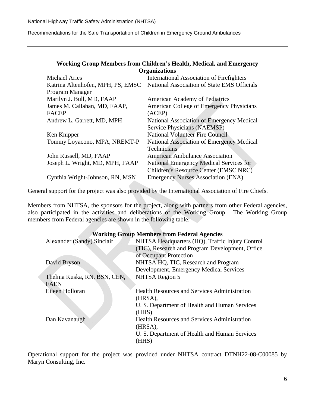| <b>Working Group Members from Children's Health, Medical, and Emergency</b> |                                                |  |
|-----------------------------------------------------------------------------|------------------------------------------------|--|
| <b>Organizations</b>                                                        |                                                |  |
| Michael Aries                                                               | International Association of Firefighters      |  |
| Katrina Altenhofen, MPH, PS, EMSC                                           | National Association of State EMS Officials    |  |
| Program Manager                                                             |                                                |  |
| Marilyn J. Bull, MD, FAAP                                                   | American Academy of Pediatrics                 |  |
| James M. Callahan, MD, FAAP,                                                | American College of Emergency Physicians       |  |
| <b>FACEP</b>                                                                | (ACEP)                                         |  |
| Andrew L. Garrett, MD, MPH                                                  | National Association of Emergency Medical      |  |
|                                                                             | Service Physicians (NAEMSP)                    |  |
| Ken Knipper                                                                 | <b>National Volunteer Fire Council</b>         |  |
| Tommy Loyacono, MPA, NREMT-P                                                | National Association of Emergency Medical      |  |
|                                                                             | Technicians                                    |  |
| John Russell, MD, FAAP                                                      | <b>American Ambulance Association</b>          |  |
| Joseph L. Wright, MD, MPH, FAAP                                             | <b>National Emergency Medical Services for</b> |  |
|                                                                             | Children's Resource Center (EMSC NRC)          |  |
| Cynthia Wright-Johnson, RN, MSN                                             | <b>Emergency Nurses Association (ENA)</b>      |  |
|                                                                             |                                                |  |

General support for the project was also provided by the International Association of Fire Chiefs.

Members from NHTSA, the sponsors for the project, along with partners from other Federal agencies, also participated in the activities and deliberations of the Working Group. The Working Group members from Federal agencies are shown in the following table:

|                             | Working Group Members from Federal Agencies         |
|-----------------------------|-----------------------------------------------------|
| Alexander (Sandy) Sinclair  | NHTSA Headquarters (HQ), Traffic Injury Control     |
|                             | (TIC), Research and Program Development, Office     |
|                             | of Occupant Protection                              |
| David Bryson                | NHTSA HQ, TIC, Research and Program                 |
|                             | Development, Emergency Medical Services             |
| Thelma Kuska, RN, BSN, CEN, | <b>NHTSA Region 5</b>                               |
| <b>FAEN</b>                 |                                                     |
| Eileen Holloran             | <b>Health Resources and Services Administration</b> |
|                             | (HRSA),                                             |
|                             | U. S. Department of Health and Human Services       |
|                             | (HHS)                                               |
| Dan Kavanaugh               | <b>Health Resources and Services Administration</b> |
|                             | (HRSA),                                             |
|                             | U. S. Department of Health and Human Services       |
|                             | (HHS)                                               |

W. 1: Comm Members from Federal Agencie

Operational support for the project was provided under NHTSA contract DTNH22-08-C00085 by Maryn Consulting, Inc.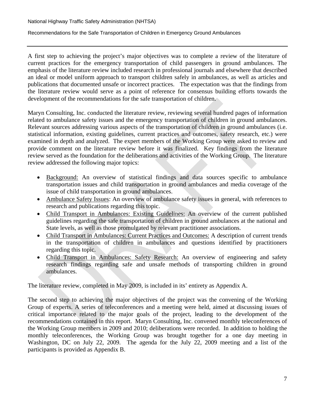A first step to achieving the project's major objectives was to complete a review of the literature of current practices for the emergency transportation of child passengers in ground ambulances. The emphasis of the literature review included research in professional journals and elsewhere that described an ideal or model uniform approach to transport children safely in ambulances, as well as articles and publications that documented unsafe or incorrect practices. The expectation was that the findings from the literature review would serve as a point of reference for consensus building efforts towards the development of the recommendations for the safe transportation of children.

Maryn Consulting, Inc. conducted the literature review, reviewing several hundred pages of information related to ambulance safety issues and the emergency transportation of children in ground ambulances. Relevant sources addressing various aspects of the transportation of children in ground ambulances (i.e. statistical information, existing guidelines, current practices and outcomes, safety research, etc.) were examined in depth and analyzed. The expert members of the Working Group were asked to review and provide comment on the literature review before it was finalized. Key findings from the literature review served as the foundation for the deliberations and activities of the Working Group. The literature review addressed the following major topics:

- Background: An overview of statistical findings and data sources specific to ambulance transportation issues and child transportation in ground ambulances and media coverage of the issue of child transportation in ground ambulances.
- Ambulance Safety Issues: An overview of ambulance safety issues in general, with references to research and publications regarding this topic.
- Child Transport in Ambulances: Existing Guidelines: An overview of the current published guidelines regarding the safe transportation of children in ground ambulances at the national and State levels, as well as those promulgated by relevant practitioner associations.
- Child Transport in Ambulances: Current Practices and Outcomes: A description of current trends in the transportation of children in ambulances and questions identified by practitioners regarding this topic.
- Child Transport in Ambulances: Safety Research: An overview of engineering and safety research findings regarding safe and unsafe methods of transporting children in ground ambulances.

The literature review, completed in May 2009, is included in its' entirety as Appendix A.

The second step to achieving the major objectives of the project was the convening of the Working Group of experts. A series of teleconferences and a meeting were held, aimed at discussing issues of critical importance related to the major goals of the project, leading to the development of the recommendations contained in this report. Maryn Consulting, Inc. convened monthly teleconferences of the Working Group members in 2009 and 2010; deliberations were recorded. In addition to holding the monthly teleconferences, the Working Group was brought together for a one day meeting in Washington, DC on July 22, 2009. The agenda for the July 22, 2009 meeting and a list of the participants is provided as Appendix B.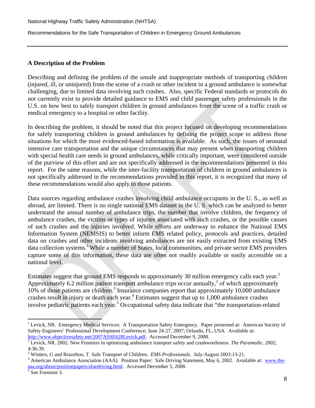### **A Description of the Problem**

Describing and defining the problem of the unsafe and inappropriate methods of transporting children (injured, ill, or uninjured) from the scene of a crash or other incident in a ground ambulance is somewhat challenging, due to limited data involving such crashes. Also, specific Federal standards or protocols do not currently exist to provide detailed guidance to EMS and child passenger safety professionals in the U.S. on how best to safely transport children in ground ambulances from the scene of a traffic crash or medical emergency to a hospital or other facility.

In describing the problem, it should be noted that this project focused on developing recommendations for safely transporting children in ground ambulances by defining the project scope to address those situations for which the most evidenced-based information is available. As such, the issues of neonatal intensive care transportation and the unique circumstances that may present when transporting children with special health care needs in ground ambulances, while critically important, were considered outside of the purview of this effort and are not specifically addressed in the recommendations presented in this report. For the same reasons, while the inter-facility transportation of children in ground ambulances is not specifically addressed in the recommendations provided in this report, it is recognized that many of these recommendations would also apply to those patients.

Data sources regarding ambulance crashes involving child ambulance occupants in the U. S., as well as abroad, are limited. There is no single national EMS dataset in the U. S. which can be analyzed to better understand the annual number of ambulance trips, the number that involve children, the frequency of ambulance crashes, the victims or types of injuries associated with such crashes, or the possible causes of such crashes and the injuries involved. While efforts are underway to enhance the National EMS Information System (NEMSIS) to better inform EMS related policy, protocols and practices, detailed data on crashes and other incidents involving ambulances are not easily extracted from existing EMS data collection systems.<sup>1</sup> While a number of States, local communities, and private sector EMS providers capture some of this information, these data are often not readily available or easily accessible on a national level.

Estimates suggest that ground EMS responds to approximately 30 million emergency calls each year.<sup>1</sup> Approximately 6.2 million patient transport ambulance trips occur annually, $\alpha$  of which approximately 10% of those patients are children.<sup>3</sup> Insurance companies report that approximately 10,000 ambulance crashes result in injury or death each year.<sup>4</sup> Estimates suggest that up to 1,000 ambulance crashes involve pediatric patients each year.<sup>5</sup> Occupational safety data indicate that "the transportation-related

.

<sup>&</sup>lt;sup>1</sup> Levick, NR. Emergency Medical Services: A Transportation Safety Emergency. Paper presented at: American Society of Safety Engineers' Professional Development Conference; June 24-27, 2007; Orlando, FL, USA. Available at: http://www.objectivesafety.net/2007ASSE628Levick.pdf. Accessed December 9, 2008.

Levick, NR. 2002. New Frontiers in optimizing ambulance transport safety and crashworthiness. *The Paramedic*. 2002; 4:36-39.

<sup>&</sup>lt;sup>3</sup> Winters, G and Brazelton, T. Safe Transport of Children. *EMS Professionals*. July-August 2003:13-21.

<sup>&</sup>lt;sup>4</sup> American Ambulance Association (AAA). Position Paper: Safe Driving Statement, May 6, 2002. Available at: www.theaaa.org/about/positionpapers/afaedriving.html. Accessed December 5, 2008.

See Footnote 3.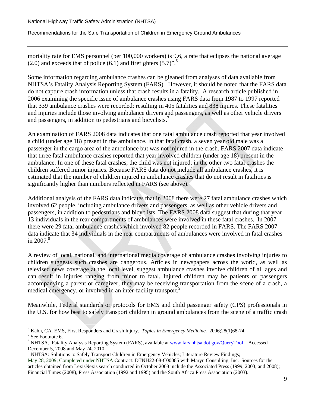mortality rate for EMS personnel (per 100,000 workers) is 9.6, a rate that eclipses the national average  $(2.0)$  and exceeds that of police  $(6.1)$  and firefighters  $(5.7)$ ".<sup>6</sup>

Some information regarding ambulance crashes can be gleaned from analyses of data available from NHTSA's Fatality Analysis Reporting System (FARS). However, it should be noted that the FARS data do not capture crash information unless that crash results in a fatality. A research article published in 2006 examining the specific issue of ambulance crashes using FARS data from 1987 to 1997 reported that 339 ambulance crashes were recorded; resulting in 405 fatalities and 838 injures. These fatalities and injuries include those involving ambulance drivers and passengers, as well as other vehicle drivers and passengers, in addition to pedestrians and bicyclists.<sup>7</sup>

An examination of FARS 2008 data indicates that one fatal ambulance crash reported that year involved a child (under age 18) present in the ambulance. In that fatal crash, a seven year old male was a passenger in the cargo area of the ambulance but was not injured in the crash. FARS 2007 data indicate that three fatal ambulance crashes reported that year involved children (under age 18) present in the ambulance. In one of these fatal crashes, the child was not injured; in the other two fatal crashes the children suffered minor injuries. Because FARS data do not include all ambulance crashes, it is estimated that the number of children injured in ambulance crashes that do not result in fatalities is significantly higher than numbers reflected in FARS (see above).

Additional analysis of the FARS data indicates that in 2008 there were 27 fatal ambulance crashes which involved 62 people, including ambulance drivers and passengers, as well as other vehicle drivers and passengers, in addition to pedestrians and bicyclists. The FARS 2008 data suggest that during that year 13 individuals in the rear compartments of ambulances were involved in these fatal crashes. In 2007 there were 29 fatal ambulance crashes which involved 82 people recorded in FARS. The FARS 2007 data indicate that 34 individuals in the rear compartments of ambulances were involved in fatal crashes in  $2007.8$ 

A review of local, national, and international media coverage of ambulance crashes involving injuries to children suggests such crashes are dangerous. Articles in newspapers across the world, as well as televised news coverage at the local level, suggest ambulance crashes involve children of all ages and can result in injuries ranging from minor to fatal. Injured children may be patients or passengers accompanying a parent or caregiver; they may be receiving transportation from the scene of a crash, a medical emergency, or involved in an inter-facility transport.<sup>9</sup>

Meanwhile, Federal standards or protocols for EMS and child passenger safety (CPS) professionals in the U.S. for how best to safely transport children in ground ambulances from the scene of a traffic crash

<u>.</u>

<sup>6</sup> Kahn, CA. EMS, First Responders and Crash Injury. *Topics in Emergency Medicine*. 2006;28(1)68-74. 7

See Footnote 6.

<sup>&</sup>lt;sup>8</sup> NHTSA. Fatality Analysis Reporting System (FARS), available at www.fars.nhtsa.dot.gov/QueryTool . Accessed December 5, 2008 and May 24, 2010.

<sup>&</sup>lt;sup>9</sup> NHTSA: Solutions to Safely Transport Children in Emergency Vehicles; Literature Review Findings;

May 28, 2009; Completed under NHTSA Contract: DTNH22-08-C00085 with Maryn Consulting, Inc. Sources for the articles obtained from LexisNexis search conducted in October 2008 include the Associated Press (1999, 2003, and 2008); Financial Times (2008), Press Association (1992 and 1995) and the South Africa Press Association (2003).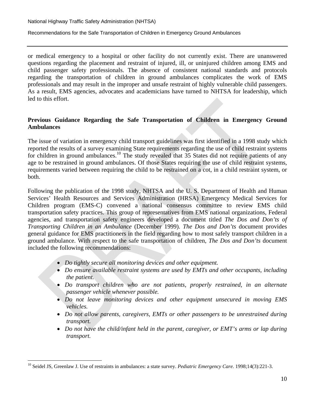or medical emergency to a hospital or other facility do not currently exist. There are unanswered questions regarding the placement and restraint of injured, ill, or uninjured children among EMS and child passenger safety professionals. The absence of consistent national standards and protocols regarding the transportation of children in ground ambulances complicates the work of EMS professionals and may result in the improper and unsafe restraint of highly vulnerable child passengers. As a result, EMS agencies, advocates and academicians have turned to NHTSA for leadership, which led to this effort.

### **Previous Guidance Regarding the Safe Transportation of Children in Emergency Ground Ambulances**

The issue of variation in emergency child transport guidelines was first identified in a 1998 study which reported the results of a survey examining State requirements regarding the use of child restraint systems for children in ground ambulances.<sup>10</sup> The study revealed that 35 States did not require patients of any age to be restrained in ground ambulances. Of those States requiring the use of child restraint systems, requirements varied between requiring the child to be restrained on a cot, in a child restraint system, or both.

Following the publication of the 1998 study, NHTSA and the U. S. Department of Health and Human Services' Health Resources and Services Administration (HRSA) Emergency Medical Services for Children program (EMS-C) convened a national consensus committee to review EMS child transportation safety practices. This group of representatives from EMS national organizations, Federal agencies, and transportation safety engineers developed a document titled *The Dos and Don'ts of Transporting Children in an Ambulance* (December 1999). *The Dos and Don'ts* document provides general guidance for EMS practitioners in the field regarding how to most safely transport children in a ground ambulance. With respect to the safe transportation of children, *The Dos and Don'ts* document included the following recommendations:

- *Do tightly secure all monitoring devices and other equipment.*
- *Do ensure available restraint systems are used by EMTs and other occupants, including the patient.*
- *Do transport children who are not patients, properly restrained, in an alternate passenger vehicle whenever possible.*
- *Do not leave monitoring devices and other equipment unsecured in moving EMS vehicles.*
- *Do not allow parents, caregivers, EMTs or other passengers to be unrestrained during transport.*
- *Do not have the child/infant held in the parent, caregiver, or EMT's arms or lap during transport.*

<sup>10</sup> Seidel JS, Greenlaw J. Use of restraints in ambulances: a state survey. *Pediatric Emergency Care.* 1998;14(3):221-3.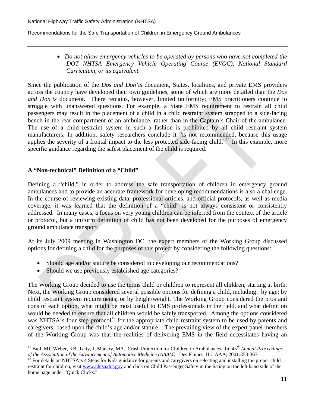• *Do not allow emergency vehicles to be operated by persons who have not completed the DOT NHTSA Emergency Vehicle Operating Course (EVOC), National Standard Curriculum, or its equivalent.*

Since the publication of the *Dos and Don'ts* document, States, localities, and private EMS providers across the country have developed their own guidelines, some of which are more detailed than the *Dos and Don'ts* document. There remains, however, limited uniformity; EMS practitioners continue to struggle with unanswered questions. For example, a State EMS requirement to restrain all child passengers may result in the placement of a child in a child restraint system strapped to a side-facing bench in the rear compartment of an ambulance, rather than in the Captain's Chair of the ambulance. The use of a child restraint system in such a fashion is prohibited by all child restraint system manufacturers. In addition, safety researchers conclude it "is not recommended, because this usage applies the severity of a frontal impact to the less protected side-facing child."<sup>11</sup> In this example, more specific guidance regarding the safest placement of the child is required.

### **A "Non-technical" Definition of a "Child"**

 $\overline{a}$ 

Defining a "child," in order to address the safe transportation of children in emergency ground ambulances and to provide an accurate framework for developing recommendations is also a challenge. In the course of reviewing existing data, professional articles, and official protocols, as well as media coverage, it was learned that the definition of a "child" is not always consistent or consistently addressed. In many cases, a focus on very young children can be inferred from the context of the article or protocol, but a uniform definition of child has not been developed for the purposes of emergency ground ambulance transport.

At its July 2009 meeting in Washington DC, the expert members of the Working Group discussed options for defining a child for the purposes of this project by considering the following questions:

- Should age and/or stature be considered in developing our recommendations?
- Should we use previously established age categories?

The Working Group decided to use the terms child or children to represent all children, starting at birth. Next, the Working Group considered several possible options for defining a child, including: by age; by child restraint system requirements; or by height/weight. The Working Group considered the pros and cons of each option, what might be most useful to EMS professionals in the field, and what definition would be needed to ensure that all children would be safely transported. Among the options considered was NHTSA's four step protocol<sup>12</sup> for the appropriate child restraint system to be used by parents and caregivers, based upon the child's age and/or stature. The prevailing view of the expert panel members of the Working Group was that the realities of delivering EMS in the field necessitates having an

<sup>&</sup>lt;sup>11</sup> Bull, MJ, Weber, KB, Talty, J, Manary, MA. Crash Protection for Children in Ambulances. In: 45<sup>th</sup> Annual Proceedings of the Association of the Advancement of Automotive Medicine (AAAM). Des Plaines, IL: AAA; 2001:353

<sup>&</sup>lt;sup>12</sup> For details on NHTSA's 4 Steps for Kids guidance for parents and caregivers on selecting and installing the proper child restraint for children, visit www.nhtsa.dot.gov and click on Child Passenger Safety in the listing on the left hand side of the home page under "Quick Clicks."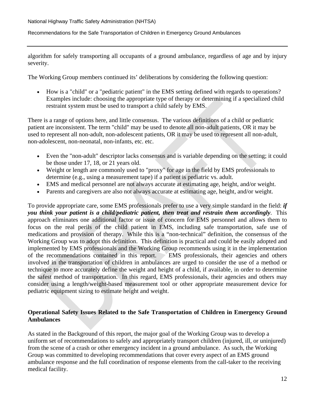algorithm for safely transporting all occupants of a ground ambulance, regardless of age and by injury severity.

The Working Group members continued its' deliberations by considering the following question:

• How is a "child" or a "pediatric patient" in the EMS setting defined with regards to operations? Examples include: choosing the appropriate type of therapy or determining if a specialized child restraint system must be used to transport a child safely by EMS.

There is a range of options here, and little consensus. The various definitions of a child or pediatric patient are inconsistent. The term "child" may be used to denote all non-adult patients, OR it may be used to represent all non-adult, non-adolescent patients, OR it may be used to represent all non-adult, non-adolescent, non-neonatal, non-infants, etc. etc.

- Even the "non-adult" descriptor lacks consensus and is variable depending on the setting; it could be those under 17, 18, or 21 years old.
- Weight or length are commonly used to "proxy" for age in the field by EMS professionals to determine (e.g., using a measurement tape) if a patient is pediatric vs. adult.
- EMS and medical personnel are not always accurate at estimating age, height, and/or weight.
- Parents and caregivers are also not always accurate at estimating age, height, and/or weight.

To provide appropriate care, some EMS professionals prefer to use a very simple standard in the field: *if you think your patient is a child/pediatric patient, then treat and restrain them accordingly*. This approach eliminates one additional factor or issue of concern for EMS personnel and allows them to focus on the real perils of the child patient in EMS, including safe transportation, safe use of medications and provision of therapy. While this is a "non-technical" definition, the consensus of the Working Group was to adopt this definition. This definition is practical and could be easily adopted and implemented by EMS professionals and the Working Group recommends using it in the implementation of the recommendations contained in this report. EMS professionals, their agencies and others involved in the transportation of children in ambulances are urged to consider the use of a method or technique to more accurately define the weight and height of a child, if available, in order to determine the safest method of transportation. In this regard, EMS professionals, their agencies and others may consider using a length/weight-based measurement tool or other appropriate measurement device for pediatric equipment sizing to estimate height and weight.

### **Operational Safety Issues Related to the Safe Transportation of Children in Emergency Ground Ambulances**

As stated in the Background of this report, the major goal of the Working Group was to develop a uniform set of recommendations to safely and appropriately transport children (injured, ill, or uninjured) from the scene of a crash or other emergency incident in a ground ambulance. As such, the Working Group was committed to developing recommendations that cover every aspect of an EMS ground ambulance response and the full coordination of response elements from the call-taker to the receiving medical facility.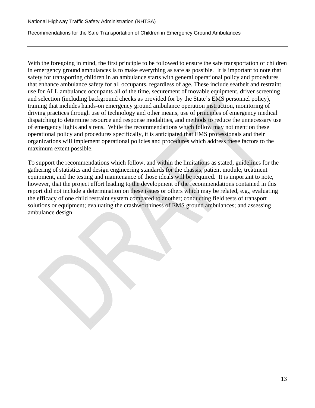With the foregoing in mind, the first principle to be followed to ensure the safe transportation of children in emergency ground ambulances is to make everything as safe as possible. It is important to note that safety for transporting children in an ambulance starts with general operational policy and procedures that enhance ambulance safety for all occupants, regardless of age. These include seatbelt and restraint use for ALL ambulance occupants all of the time, securement of movable equipment, driver screening and selection (including background checks as provided for by the State's EMS personnel policy), training that includes hands-on emergency ground ambulance operation instruction, monitoring of driving practices through use of technology and other means, use of principles of emergency medical dispatching to determine resource and response modalities, and methods to reduce the unnecessary use of emergency lights and sirens. While the recommendations which follow may not mention these operational policy and procedures specifically, it is anticipated that EMS professionals and their organizations will implement operational policies and procedures which address these factors to the maximum extent possible.

To support the recommendations which follow, and within the limitations as stated, guidelines for the gathering of statistics and design engineering standards for the chassis, patient module, treatment equipment, and the testing and maintenance of those ideals will be required. It is important to note, however, that the project effort leading to the development of the recommendations contained in this report did not include a determination on these issues or others which may be related, e.g., evaluating the efficacy of one child restraint system compared to another; conducting field tests of transport solutions or equipment; evaluating the crashworthiness of EMS ground ambulances; and assessing ambulance design.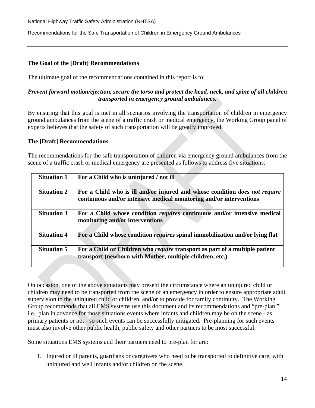### **The Goal of the [Draft] Recommendations**

The ultimate goal of the recommendations contained in this report is to:

### *Prevent forward motion/ejection, secure the torso and protect the head, neck, and spine of all children transported in emergency ground ambulances.*

By ensuring that this goal is met in all scenarios involving the transportation of children in emergency ground ambulances from the scene of a traffic crash or medical emergency, the Working Group panel of experts believes that the safety of such transportation will be greatly improved.

### **The [Draft] Recommendations**

The recommendations for the safe transportation of children via emergency ground ambulances from the scene of a traffic crash or medical emergency are presented as follows to address five situations:

| <b>Situation 1</b> | For a Child who is uninjured / not ill                                                                                                                   |
|--------------------|----------------------------------------------------------------------------------------------------------------------------------------------------------|
| <b>Situation 2</b> | For a Child who is ill and/or injured and whose condition <i>does not require</i><br>continuous and/or intensive medical monitoring and/or interventions |
| <b>Situation 3</b> | For a Child whose condition <i>requires</i> continuous and/or intensive medical<br>monitoring and/or interventions                                       |
| <b>Situation 4</b> | For a Child whose condition <i>requires</i> spinal immobilization and/or lying flat                                                                      |
| <b>Situation 5</b> | For a Child or Children who <i>require</i> transport as part of a multiple patient<br>transport (newborn with Mother, multiple children, etc.)           |

On occasion, one of the above situations may present the circumstance where an uninjured child or children may need to be transported from the scene of an emergency in order to ensure appropriate adult supervision to the uninjured child or children, and/or to provide for family continuity. The Working Group recommends that all EMS systems use this document and its recommendations and "pre-plan," i.e., plan in advance for those situations events where infants and children may be on the scene - as primary patients or not - so such events can be successfully mitigated. Pre-planning for such events must also involve other public health, public safety and other partners to be most successful.

Some situations EMS systems and their partners need to pre-plan for are:

1. Injured or ill parents, guardians or caregivers who need to be transported to definitive care, with uninjured and well infants and/or children on the scene.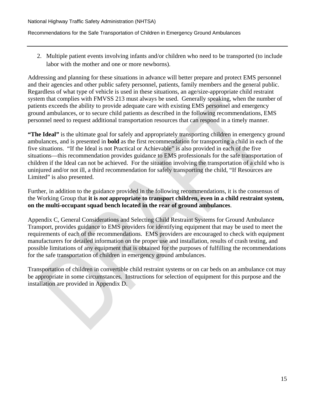2. Multiple patient events involving infants and/or children who need to be transported (to include labor with the mother and one or more newborns).

Addressing and planning for these situations in advance will better prepare and protect EMS personnel and their agencies and other public safety personnel, patients, family members and the general public. Regardless of what type of vehicle is used in these situations, an age/size-appropriate child restraint system that complies with FMVSS 213 must always be used. Generally speaking, when the number of patients exceeds the ability to provide adequate care with existing EMS personnel and emergency ground ambulances, or to secure child patients as described in the following recommendations, EMS personnel need to request additional transportation resources that can respond in a timely manner.

"The Ideal" is the ultimate goal for safely and appropriately transporting children in emergency ground ambulances, and is presented in **bold** as the first recommendation for transporting a child in each of the five situations. "If the Ideal is not Practical or Achievable" is also provided in each of the five situations—this recommendation provides guidance to EMS professionals for the safe transportation of children if the Ideal can not be achieved. For the situation involving the transportation of a child who is uninjured and/or not ill, a third recommendation for safely transporting the child, "If Resources are Limited" is also presented.

Further, in addition to the guidance provided in the following recommendations, it is the consensus of the Working Group that **it is** *not* **appropriate to transport children, even in a child restraint system, on the multi-occupant squad bench located in the rear of ground ambulances**.

Appendix C, General Considerations and Selecting Child Restraint Systems for Ground Ambulance Transport, provides guidance to EMS providers for identifying equipment that may be used to meet the requirements of each of the recommendations. EMS providers are encouraged to check with equipment manufacturers for detailed information on the proper use and installation, results of crash testing, and possible limitations of any equipment that is obtained for the purposes of fulfilling the recommendations for the safe transportation of children in emergency ground ambulances.

Transportation of children in convertible child restraint systems or on car beds on an ambulance cot may be appropriate in some circumstances. Instructions for selection of equipment for this purpose and the installation are provided in Appendix D.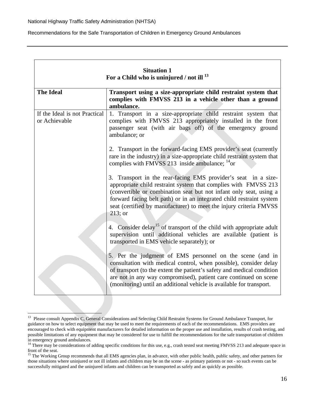| <b>Situation 1</b><br>For a Child who is uninjured / not ill $^{13}$ |                                                                                                                                                                                                                                                                                                                                                                     |  |
|----------------------------------------------------------------------|---------------------------------------------------------------------------------------------------------------------------------------------------------------------------------------------------------------------------------------------------------------------------------------------------------------------------------------------------------------------|--|
| <b>The Ideal</b>                                                     | Transport using a size-appropriate child restraint system that<br>complies with FMVSS 213 in a vehicle other than a ground<br>ambulance.                                                                                                                                                                                                                            |  |
| If the Ideal is not Practical<br>or Achievable                       | 1. Transport in a size-appropriate child restraint system that<br>complies with FMVSS 213 appropriately installed in the front<br>passenger seat (with air bags off) of the emergency ground<br>ambulance; or                                                                                                                                                       |  |
|                                                                      | 2. Transport in the forward-facing EMS provider's seat (currently<br>rare in the industry) in a size-appropriate child restraint system that<br>complies with FMVSS 213 inside ambulance; $^{14}$ or                                                                                                                                                                |  |
|                                                                      | 3. Transport in the rear-facing EMS provider's seat in a size-<br>appropriate child restraint system that complies with FMVSS 213<br>(convertible or combination seat but not infant only seat, using a<br>forward facing belt path) or in an integrated child restraint system<br>seat (certified by manufacturer) to meet the injury criteria FMVSS<br>$213$ ; or |  |
|                                                                      | 4. Consider delay <sup>15</sup> of transport of the child with appropriate adult<br>supervision until additional vehicles are available (patient is<br>transported in EMS vehicle separately); or                                                                                                                                                                   |  |
|                                                                      | 5. Per the judgment of EMS personnel on the scene (and in<br>consultation with medical control, when possible), consider delay<br>of transport (to the extent the patient's safety and medical condition<br>are not in any way compromised), patient care continued on scene<br>(monitoring) until an additional vehicle is available for transport.                |  |

 $13$ <sup>13</sup> Please consult Appendix C, General Considerations and Selecting Child Restraint Systems for Ground Ambulance Transport, for guidance on how to select equipment that may be used to meet the requirements of each of the recommendations. EMS providers are encouraged to check with equipment manufacturers for detailed information on the proper use and installation, results of crash testing, and possible limitations of any equipment that may be considered for use to fulfill the recommendations for the safe transportation of children in emergency ground ambulances.

<sup>&</sup>lt;sup>14</sup> There may be considerations of adding specific conditions for this use, e.g., crash tested seat meeting FMVSS 213 and adequate space in front of the seat.

<sup>&</sup>lt;sup>15</sup> The Working Group recommends that all EMS agencies plan, in advance, with other public health, public safety, and other partners for those situations where uninjured or not ill infants and children may be on the scene - as primary patients or not - so such events can be successfully mitigated and the uninjured infants and children can be transported as safely and as quickly as possible.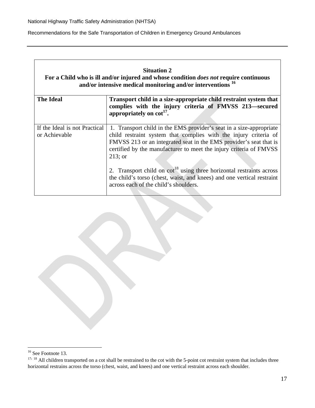| <b>Situation 2</b><br>For a Child who is ill and/or injured and whose condition does not require continuous<br>and/or intensive medical monitoring and/or interventions <sup>16</sup> |                                                                                                                                                                                                                                                                                                                                                                                                                                                                                                    |  |
|---------------------------------------------------------------------------------------------------------------------------------------------------------------------------------------|----------------------------------------------------------------------------------------------------------------------------------------------------------------------------------------------------------------------------------------------------------------------------------------------------------------------------------------------------------------------------------------------------------------------------------------------------------------------------------------------------|--|
| <b>The Ideal</b>                                                                                                                                                                      | Transport child in a size-appropriate child restraint system that<br>complies with the injury criteria of FMVSS 213-secured<br>appropriately on $cot^{17}$ .                                                                                                                                                                                                                                                                                                                                       |  |
| If the Ideal is not Practical<br>or Achievable                                                                                                                                        | 1. Transport child in the EMS provider's seat in a size-appropriate<br>child restraint system that complies with the injury criteria of<br>FMVSS 213 or an integrated seat in the EMS provider's seat that is<br>certified by the manufacturer to meet the injury criteria of FMVSS<br>$213$ ; or<br>2. Transport child on $\cot^{18}$ using three horizontal restraints across<br>the child's torso (chest, waist, and knees) and one vertical restraint<br>across each of the child's shoulders. |  |

<sup>&</sup>lt;sup>16</sup> See Footnote 13.

 $17, 18$  All children transported on a cot shall be restrained to the cot with the 5-point cot restraint system that includes three horizontal restrains across the torso (chest, waist, and knees) and one vertical restraint across each shoulder.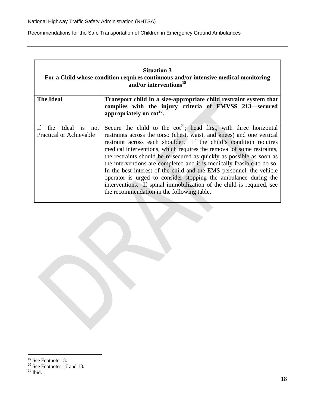| <b>Situation 3</b><br>For a Child whose condition requires continuous and/or intensive medical monitoring<br>and/or interventions $^{19}$ |                                                                                                                                                                                                                                                                                                                                                                                                                                                                                                                                                                                                                                                                                                                     |  |
|-------------------------------------------------------------------------------------------------------------------------------------------|---------------------------------------------------------------------------------------------------------------------------------------------------------------------------------------------------------------------------------------------------------------------------------------------------------------------------------------------------------------------------------------------------------------------------------------------------------------------------------------------------------------------------------------------------------------------------------------------------------------------------------------------------------------------------------------------------------------------|--|
| <b>The Ideal</b>                                                                                                                          | Transport child in a size-appropriate child restraint system that<br>complies with the injury criteria of FMVSS 213-secured<br>appropriately on $cot^{20}$ .                                                                                                                                                                                                                                                                                                                                                                                                                                                                                                                                                        |  |
| <b>If</b><br>Ideal is<br>the.<br>not<br><b>Practical or Achievable</b>                                                                    | Secure the child to the $cot^{21}$ ; head first, with three horizontal<br>restraints across the torso (chest, waist, and knees) and one vertical<br>restraint across each shoulder. If the child's condition requires<br>medical interventions, which requires the removal of some restraints,<br>the restraints should be re-secured as quickly as possible as soon as<br>the interventions are completed and it is medically feasible to do so.<br>In the best interest of the child and the EMS personnel, the vehicle<br>operator is urged to consider stopping the ambulance during the<br>interventions. If spinal immobilization of the child is required, see<br>the recommendation in the following table. |  |

<sup>&</sup>lt;sup>19</sup> See Footnote 13.

 $20$  See Footnotes 17 and 18.

 $21$  Ibid.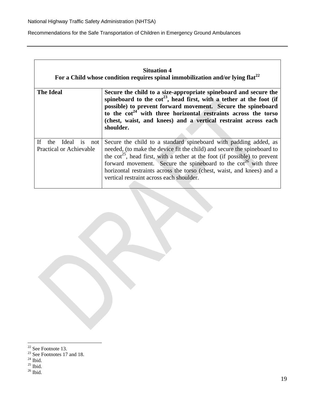| <b>Situation 4</b><br>For a Child whose condition requires spinal immobilization and/or lying $flat^{22}$ |                                                                                                                                                                                                                                                                                                                                                                                                                                      |  |
|-----------------------------------------------------------------------------------------------------------|--------------------------------------------------------------------------------------------------------------------------------------------------------------------------------------------------------------------------------------------------------------------------------------------------------------------------------------------------------------------------------------------------------------------------------------|--|
| <b>The Ideal</b>                                                                                          | Secure the child to a size-appropriate spineboard and secure the<br>spineboard to the $cot^{23}$ , head first, with a tether at the foot (if<br>possible) to prevent forward movement. Secure the spineboard<br>to the $cot^{24}$ with three horizontal restraints across the torso<br>(chest, waist, and knees) and a vertical restraint across each<br>shoulder.                                                                   |  |
| Ideal is<br><b>If</b><br>the<br>not<br><b>Practical or Achievable</b>                                     | Secure the child to a standard spineboard with padding added, as<br>needed, (to make the device fit the child) and secure the spineboard to<br>the $\cot^{25}$ , head first, with a tether at the foot (if possible) to prevent<br>forward movement. Secure the spineboard to the cot <sup>26</sup> with three<br>horizontal restraints across the torso (chest, waist, and knees) and a<br>vertical restraint across each shoulder. |  |

 $22$  See Footnote 13.

 $23$  See Footnotes 17 and 18.

 $24$  Ibid.

 $25$  Ibid.

 $26$  Ibid.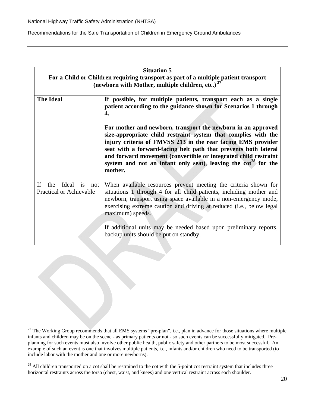$\overline{a}$ 

Recommendations for the Safe Transportation of Children in Emergency Ground Ambulances

| <b>Situation 5</b>                                                                  |                                                                                                                                                                                                                                                                                                                                                                                                                        |  |
|-------------------------------------------------------------------------------------|------------------------------------------------------------------------------------------------------------------------------------------------------------------------------------------------------------------------------------------------------------------------------------------------------------------------------------------------------------------------------------------------------------------------|--|
| For a Child or Children requiring transport as part of a multiple patient transport |                                                                                                                                                                                                                                                                                                                                                                                                                        |  |
|                                                                                     | (newborn with Mother, multiple children, etc.) $27$                                                                                                                                                                                                                                                                                                                                                                    |  |
|                                                                                     |                                                                                                                                                                                                                                                                                                                                                                                                                        |  |
| <b>The Ideal</b>                                                                    | If possible, for multiple patients, transport each as a single                                                                                                                                                                                                                                                                                                                                                         |  |
|                                                                                     | patient according to the guidance shown for Scenarios 1 through<br>4.                                                                                                                                                                                                                                                                                                                                                  |  |
|                                                                                     |                                                                                                                                                                                                                                                                                                                                                                                                                        |  |
|                                                                                     | For mother and newborn, transport the newborn in an approved<br>size-appropriate child restraint system that complies with the<br>injury criteria of FMVSS 213 in the rear facing EMS provider<br>seat with a forward-facing belt path that prevents both lateral<br>and forward movement (convertible or integrated child restraint<br>system and not an infant only seat), leaving the $cot^{28}$ for the<br>mother. |  |
| If<br>Ideal is<br>the<br><b>Practical or Achievable</b>                             | not When available resources prevent meeting the criteria shown for<br>situations 1 through 4 for all child patients, including mother and<br>newborn, transport using space available in a non-emergency mode,<br>exercising extreme caution and driving at reduced (i.e., below legal<br>maximum) speeds.                                                                                                            |  |
|                                                                                     | If additional units may be needed based upon preliminary reports,<br>backup units should be put on standby.                                                                                                                                                                                                                                                                                                            |  |

 $27$  The Working Group recommends that all EMS systems "pre-plan", i.e., plan in advance for those situations where multiple infants and children may be on the scene - as primary patients or not - so such events can be successfully mitigated. Preplanning for such events must also involve other public health, public safety and other partners to be most successful. An example of such an event is one that involves multiple patients, i.e., infants and/or children who need to be transported (to include labor with the mother and one or more newborns).

 $28$  All children transported on a cot shall be restrained to the cot with the 5-point cot restraint system that includes three horizontal restraints across the torso (chest, waist, and knees) and one vertical restraint across each shoulder.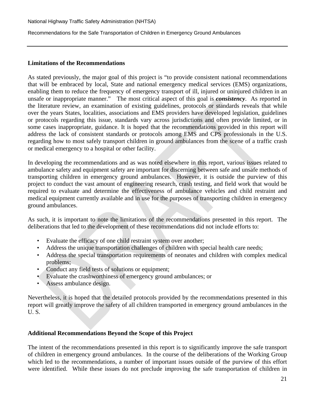### **Limitations of the Recommendations**

As stated previously, the major goal of this project is "to provide consistent national recommendations that will be embraced by local, State and national emergency medical services (EMS) organizations, enabling them to reduce the frequency of emergency transport of ill, injured or uninjured children in an unsafe or inappropriate manner." The most critical aspect of this goal is *consistency*. As reported in the literature review, an examination of existing guidelines, protocols or standards reveals that while over the years States, localities, associations and EMS providers have developed legislation, guidelines or protocols regarding this issue, standards vary across jurisdictions and often provide limited, or in some cases inappropriate, guidance. It is hoped that the recommendations provided in this report will address the lack of consistent standards or protocols among EMS and CPS professionals in the U.S. regarding how to most safely transport children in ground ambulances from the scene of a traffic crash or medical emergency to a hospital or other facility.

In developing the recommendations and as was noted elsewhere in this report, various issues related to ambulance safety and equipment safety are important for discerning between safe and unsafe methods of transporting children in emergency ground ambulances. However, it is outside the purview of this project to conduct the vast amount of engineering research, crash testing, and field work that would be required to evaluate and determine the effectiveness of ambulance vehicles and child restraint and medical equipment currently available and in use for the purposes of transporting children in emergency ground ambulances.

As such, it is important to note the limitations of the recommendations presented in this report. The deliberations that led to the development of these recommendations did not include efforts to:

- Evaluate the efficacy of one child restraint system over another;
- Address the unique transportation challenges of children with special health care needs;
- Address the special transportation requirements of neonates and children with complex medical problems;
- Conduct any field tests of solutions or equipment;
- Evaluate the crashworthiness of emergency ground ambulances; or
- Assess ambulance design.

Nevertheless, it is hoped that the detailed protocols provided by the recommendations presented in this report will greatly improve the safety of all children transported in emergency ground ambulances in the U. S.

### **Additional Recommendations Beyond the Scope of this Project**

The intent of the recommendations presented in this report is to significantly improve the safe transport of children in emergency ground ambulances. In the course of the deliberations of the Working Group which led to the recommendations, a number of important issues outside of the purview of this effort were identified.While these issues do not preclude improving the safe transportation of children in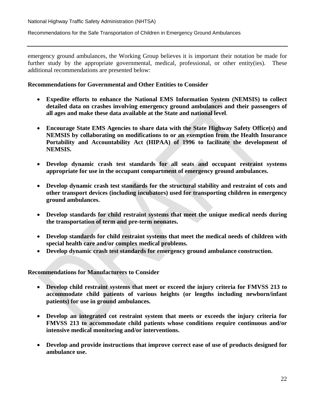emergency ground ambulances, the Working Group believes it is important their notation be made for further study by the appropriate governmental, medical, professional, or other entity(ies). These additional recommendations are presented below:

### **Recommendations for Governmental and Other Entities to Consider**

- **Expedite efforts to enhance the National EMS Information System (NEMSIS) to collect detailed data on crashes involving emergency ground ambulances and their passengers of all ages and make these data available at the State and national level**.
- **Encourage State EMS Agencies to share data with the State Highway Safety Office(s) and NEMSIS by collaborating on modifications to or an exemption from the Health Insurance Portability and Accountability Act (HIPAA) of 1996 to facilitate the development of NEMSIS.**
- **Develop dynamic crash test standards for all seats and occupant restraint systems appropriate for use in the occupant compartment of emergency ground ambulances.**
- **Develop dynamic crash test standards for the structural stability and restraint of cots and other transport devices (including incubators) used for transporting children in emergency ground ambulances.**
- **Develop standards for child restraint systems that meet the unique medical needs during the transportation of term and pre-term neonates.**
- **Develop standards for child restraint systems that meet the medical needs of children with special health care and/or complex medical problems.**
- **Develop dynamic crash test standards for emergency ground ambulance construction.**

**Recommendations for Manufacturers to Consider** 

- **Develop child restraint systems that meet or exceed the injury criteria for FMVSS 213 to accommodate child patients of various heights (or lengths including newborn/infant patients) for use in ground ambulances.**
- **Develop an integrated cot restraint system that meets or exceeds the injury criteria for FMVSS 213 to accommodate child patients whose conditions require continuous and/or intensive medical monitoring and/or interventions.**
- **Develop and provide instructions that improve correct ease of use of products designed for ambulance use.**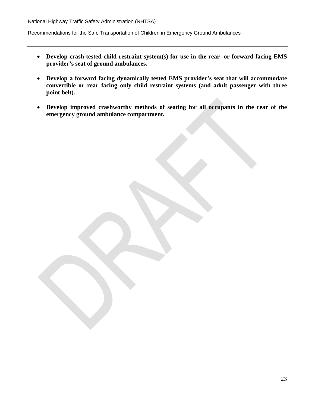- **Develop crash-tested child restraint system(s) for use in the rear- or forward-facing EMS provider's seat of ground ambulances.**
- **Develop a forward facing dynamically tested EMS provider's seat that will accommodate convertible or rear facing only child restraint systems (and adult passenger with three point belt).**
- **Develop improved crashworthy methods of seating for all occupants in the rear of the emergency ground ambulance compartment.**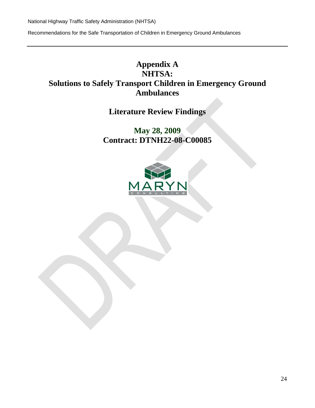# **Appendix A NHTSA: Solutions to Safely Transport Children in Emergency Ground Ambulances**

**Literature Review Findings** 

**May 28, 2009 Contract: DTNH22-08-C00085** 

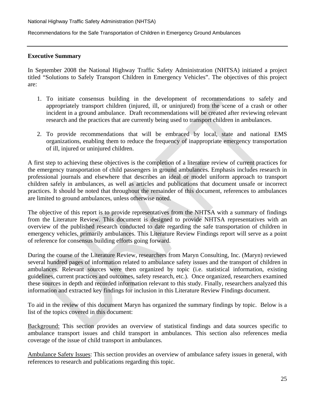### **Executive Summary**

In September 2008 the National Highway Traffic Safety Administration (NHTSA) initiated a project titled "Solutions to Safely Transport Children in Emergency Vehicles". The objectives of this project are:

- 1. To initiate consensus building in the development of recommendations to safely and appropriately transport children (injured, ill, or uninjured) from the scene of a crash or other incident in a ground ambulance. Draft recommendations will be created after reviewing relevant research and the practices that are currently being used to transport children in ambulances.
- 2. To provide recommendations that will be embraced by local, state and national EMS organizations, enabling them to reduce the frequency of inappropriate emergency transportation of ill, injured or uninjured children.

A first step to achieving these objectives is the completion of a literature review of current practices for the emergency transportation of child passengers in ground ambulances. Emphasis includes research in professional journals and elsewhere that describes an ideal or model uniform approach to transport children safely in ambulances, as well as articles and publications that document unsafe or incorrect practices. It should be noted that throughout the remainder of this document, references to ambulances are limited to ground ambulances, unless otherwise noted.

The objective of this report is to provide representatives from the NHTSA with a summary of findings from the Literature Review. This document is designed to provide NHTSA representatives with an overview of the published research conducted to date regarding the safe transportation of children in emergency vehicles, primarily ambulances. This Literature Review Findings report will serve as a point of reference for consensus building efforts going forward.

During the course of the Literature Review, researchers from Maryn Consulting, Inc. (Maryn) reviewed several hundred pages of information related to ambulance safety issues and the transport of children in ambulances. Relevant sources were then organized by topic (i.e. statistical information, existing guidelines, current practices and outcomes, safety research, etc.). Once organized, researchers examined these sources in depth and recorded information relevant to this study. Finally, researchers analyzed this information and extracted key findings for inclusion in this Literature Review Findings document.

To aid in the review of this document Maryn has organized the summary findings by topic. Below is a list of the topics covered in this document:

Background: This section provides an overview of statistical findings and data sources specific to ambulance transport issues and child transport in ambulances. This section also references media coverage of the issue of child transport in ambulances.

Ambulance Safety Issues: This section provides an overview of ambulance safety issues in general, with references to research and publications regarding this topic.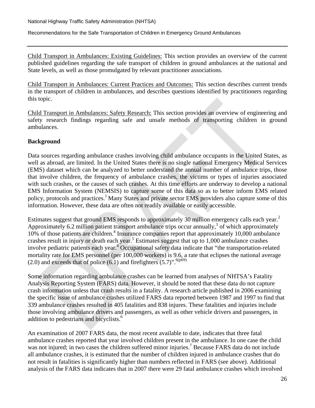Child Transport in Ambulances: Existing Guidelines: This section provides an overview of the current published guidelines regarding the safe transport of children in ground ambulances at the national and State levels, as well as those promulgated by relevant practitioner associations.

Child Transport in Ambulances: Current Practices and Outcomes: This section describes current trends in the transport of children in ambulances, and describes questions identified by practitioners regarding this topic.

Child Transport in Ambulances: Safety Research: This section provides an overview of engineering and safety research findings regarding safe and unsafe methods of transporting children in ground ambulances.

### **Background**

Data sources regarding ambulance crashes involving child ambulance occupants in the United States, as well as abroad, are limited. In the United States there is no single national Emergency Medical Services (EMS) dataset which can be analyzed to better understand the annual number of ambulance trips, those that involve children, the frequency of ambulance crashes, the victims or types of injuries associated with such crashes, or the causes of such crashes. At this time efforts are underway to develop a national EMS Information System (NEMSIS) to capture some of this data so as to better inform EMS related policy, protocols and practices.<sup>1</sup> Many States and private sector EMS providers also capture some of this information. However, these data are often not readily available or easily accessible.

Estimates suggest that ground EMS responds to approximately 30 million emergency calls each year.<sup>2</sup> Approximately 6.2 million patient transport ambulance trips occur annually, $3$  of which approximately 10% of those patients are children.<sup>4</sup> Insurance companies report that approximately 10,000 ambulance crashes result in injury or death each year.<sup>5</sup> Estimates suggest that up to 1,000 ambulance crashes involve pediatric patients each year.<sup>4</sup> Occupational safety data indicate that "the transportation-related mortality rate for EMS personnel (per 100,000 workers) is 9.6, a rate that eclipses the national average (2.0) and exceeds that of police  $(6.1)$  and firefighters  $(5.7)$ ".<sup>6(p69)</sup>

Some information regarding ambulance crashes can be learned from analyses of NHTSA's Fatality Analysis Reporting System (FARS) data. However, it should be noted that these data do not capture crash information unless that crash results in a fatality. A research article published in 2006 examining the specific issue of ambulance crashes utilized FARS data reported between 1987 and 1997 to find that 339 ambulance crashes resulted in 405 fatalities and 838 injures. These fatalities and injuries include those involving ambulance drivers and passengers, as well as other vehicle drivers and passengers, in addition to pedestrians and bicyclists.<sup>6</sup>

An examination of 2007 FARS data, the most recent available to date, indicates that three fatal ambulance crashes reported that year involved children present in the ambulance. In one case the child was not injured; in two cases the children suffered minor injuries.<sup>7</sup> Because FARS data do not include all ambulance crashes, it is estimated that the number of children injured in ambulance crashes that do not result in fatalities is significantly higher than numbers reflected in FARS (see above). Additional analysis of the FARS data indicates that in 2007 there were 29 fatal ambulance crashes which involved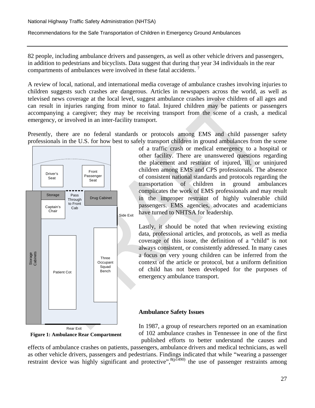82 people, including ambulance drivers and passengers, as well as other vehicle drivers and passengers, in addition to pedestrians and bicyclists. Data suggest that during that year 34 individuals in the rear compartments of ambulances were involved in these fatal accidents.

A review of local, national, and international media coverage of ambulance crashes involving injuries to children suggests such crashes are dangerous. Articles in newspapers across the world, as well as televised news coverage at the local level, suggest ambulance crashes involve children of all ages and can result in injuries ranging from minor to fatal. Injured children may be patients or passengers accompanying a caregiver; they may be receiving transport from the scene of a crash, a medical emergency, or involved in an inter-facility transport.

Presently, there are no federal standards or protocols among EMS and child passenger safety professionals in the U.S. for how best to safely transport children in ground ambulances from the scene



of a traffic crash or medical emergency to a hospital or other facility. There are unanswered questions regarding the placement and restraint of injured, ill, or uninjured children among EMS and CPS professionals. The absence of consistent national standards and protocols regarding the transportation of children in ground ambulances complicates the work of EMS professionals and may result in the improper restraint of highly vulnerable child passengers. EMS agencies, advocates and academicians have turned to NHTSA for leadership.

Lastly, it should be noted that when reviewing existing data, professional articles, and protocols, as well as media coverage of this issue, the definition of a "child" is not always consistent, or consistently addressed. In many cases a focus on very young children can be inferred from the context of the article or protocol, but a uniform definition of child has not been developed for the purposes of emergency ambulance transport.

### **Ambulance Safety Issues**



In 1987, a group of researchers reported on an examination of 102 ambulance crashes in Tennessee in one of the first published efforts to better understand the causes and

effects of ambulance crashes on patients, passengers, ambulance drivers and medical technicians, as well as other vehicle drivers, passengers and pedestrians. Findings indicated that while "wearing a passenger restraint device was highly significant and protective",  $8(pI490)$  the use of passenger restraints among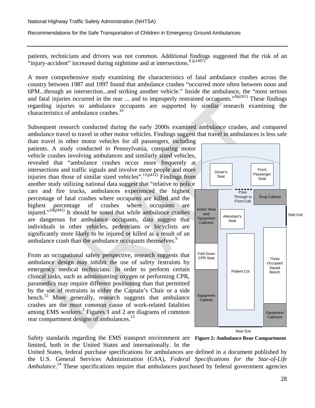patients, technicians and drivers was not common. Additional findings suggested that the risk of an "injury-accident" increased during nighttime and at intersections.<sup>8 (p1487)</sup>

A more comprehensive study examining the characteristics of fatal ambulance crashes across the country between 1987 and 1997 found that ambulance crashes "occurred more often between noon and 6PM...through an intersection...and striking another vehicle." Inside the ambulance, the "most serious and fatal injuries occurred in the rear ... and to improperly restrained occupants." $9(p261)$  These findings regarding injuries to ambulance occupants are supported by similar research examining the characteristics of ambulance crashes.<sup>10</sup>

Subsequent research conducted during the early 2000s examined ambulance crashes, and compared ambulance travel to travel in other motor vehicles. Findings suggest that travel in ambulances is less safe

than travel in other motor vehicles for all passengers, including patients. A study conducted in Pennsylvania, comparing motor vehicle crashes involving ambulances and similarly sized vehicles, revealed that "ambulance crashes occur more frequently at intersections and traffic signals and involve more people and more injuries than those of similar sized vehicles".  $\frac{11(p412)}{P}$  Findings from another study utilizing national data suggest that "relative to police cars and fire trucks, ambulances experienced the highest percentage of fatal crashes where occupants are killed and the highest percentage of crashes where occupants are injured." $10(p941)$  It should be noted that while ambulance crashes are dangerous for ambulance occupants, data suggest that individuals in other vehicles, pedestrians or bicyclists are significantly more likely to be injured or killed as a result of an ambulance crash than the ambulance occupants themselves.<sup>9</sup>

From an occupational safety perspective, research suggests that ambulance design may inhibit the use of safety restraints by emergency medical technicians. In order to perform certain clinical tasks, such as administering oxygen or performing CPR, paramedics may require different positioning than that permitted by the use of restraints in either the Captain's Chair or a side bench.<sup>12</sup> More generally, research suggests that ambulance crashes are the most common cause of work-related fatalities among EMS workers.<sup>2</sup> Figures 1 and 2 are diagrams of common rear compartment designs of ambulances.<sup>13</sup>



Safety standards regarding the EMS transport environment are **Figure 2: Ambulance Rear Compartment**limited, both in the United States and internationally. In the

United States, federal purchase specifications for ambulances are defined in a document published by the U.S. General Services Administration (GSA), *Federal Specifications for the Star-of-Life Ambulance*.<sup>14</sup> These specifications require that ambulances purchased by federal government agencies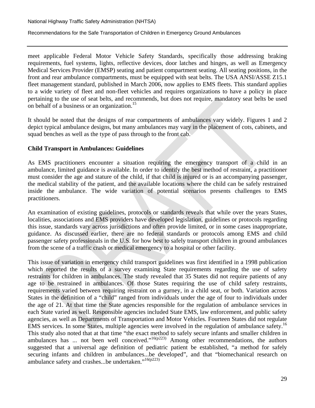meet applicable Federal Motor Vehicle Safety Standards, specifically those addressing braking requirements, fuel systems, lights, reflective devices, door latches and hinges, as well as Emergency Medical Services Provider (EMSP) seating and patient compartment seating. All seating positions, in the front and rear ambulance compartments, must be equipped with seat belts. The USA ANSI/ASSE Z15.1 fleet management standard, published in March 2006, now applies to EMS fleets. This standard applies to a wide variety of fleet and non-fleet vehicles and requires organizations to have a policy in place pertaining to the use of seat belts, and recommends, but does not require, mandatory seat belts be used on behalf of a business or an organization.<sup>15</sup>

It should be noted that the designs of rear compartments of ambulances vary widely. Figures 1 and 2 depict typical ambulance designs, but many ambulances may vary in the placement of cots, cabinets, and squad benches as well as the type of pass through to the front cab.

### **Child Transport in Ambulances: Guidelines**

As EMS practitioners encounter a situation requiring the emergency transport of a child in an ambulance, limited guidance is available. In order to identify the best method of restraint, a practitioner must consider the age and stature of the child, if that child is injured or is an accompanying passenger, the medical stability of the patient, and the available locations where the child can be safely restrained inside the ambulance. The wide variation of potential scenarios presents challenges to EMS practitioners.

An examination of existing guidelines, protocols or standards reveals that while over the years States, localities, associations and EMS providers have developed legislation, guidelines or protocols regarding this issue, standards vary across jurisdictions and often provide limited, or in some cases inappropriate, guidance. As discussed earlier, there are no federal standards or protocols among EMS and child passenger safety professionals in the U.S. for how best to safely transport children in ground ambulances from the scene of a traffic crash or medical emergency to a hospital or other facility.

This issue of variation in emergency child transport guidelines was first identified in a 1998 publication which reported the results of a survey examining State requirements regarding the use of safety restraints for children in ambulances. The study revealed that 35 States did not require patients of any age to be restrained in ambulances. Of those States requiring the use of child safety restraints, requirements varied between requiring restraint on a gurney, in a child seat, or both. Variation across States in the definition of a "child" ranged from individuals under the age of four to individuals under the age of 21. At that time the State agencies responsible for the regulation of ambulance services in each State varied as well. Responsible agencies included State EMS, law enforcement, and public safety agencies, as well as Departments of Transportation and Motor Vehicles. Fourteen States did not regulate EMS services. In some States, multiple agencies were involved in the regulation of ambulance safety.<sup>16</sup> This study also noted that at that time "the exact method to safely secure infants and smaller children in ambulances has ... not been well conceived." $16(p223)$  Among other recommendations, the authors suggested that a universal age definition of pediatric patient be established, "a method for safely securing infants and children in ambulances...be developed", and that "biomechanical research on ambulance safety and crashes...be undertaken." $16(p223)$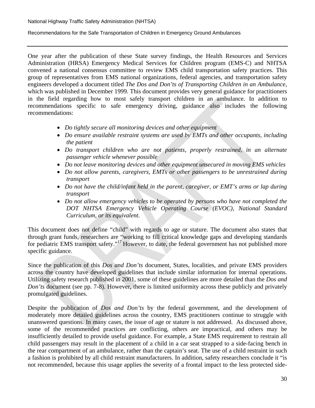One year after the publication of these State survey findings, the Health Resources and Services Administration (HRSA) Emergency Medical Services for Children program (EMS-C) and NHTSA convened a national consensus committee to review EMS child transportation safety practices. This group of representatives from EMS national organizations, federal agencies, and transportation safety engineers developed a document titled *The Dos and Don'ts of Transporting Children in an Ambulance,* which was published in December 1999. This document provides very general guidance for practitioners in the field regarding how to most safely transport children in an ambulance. In addition to recommendations specific to safe emergency driving, guidance also includes the following recommendations:

- *Do tightly secure all monitoring devices and other equipment*
- *Do ensure available restraint systems are used by EMTs and other occupants, including the patient*
- *Do transport children who are not patients, properly restrained, in an alternate passenger vehicle whenever possible*
- *Do not leave monitoring devices and other equipment unsecured in moving EMS vehicles*
- *Do not allow parents, caregivers, EMTs or other passengers to be unrestrained during transport*
- *Do not have the child/infant held in the parent, caregiver, or EMT's arms or lap during transport*
- *Do not allow emergency vehicles to be operated by persons who have not completed the DOT NHTSA Emergency Vehicle Operating Course (EVOC), National Standard Curriculum, or its equivalent.*

This document does not define "child" with regards to age or stature. The document also states that through grant funds, researchers are "working to fill critical knowledge gaps and developing standards for pediatric EMS transport safety."<sup>17</sup> However, to date, the federal government has not published more specific guidance.

Since the publication of this *Dos and Don'ts* document, States, localities, and private EMS providers across the country have developed guidelines that include similar information for internal operations. Utilizing safety research published in 2001, some of these guidelines are more detailed than the *Dos and Don'ts* document (see pp. 7-8). However, there is limited uniformity across these publicly and privately promulgated guidelines.

Despite the publication of *Dos and Don'ts* by the federal government, and the development of moderately more detailed guidelines across the country, EMS practitioners continue to struggle with unanswered questions. In many cases, the issue of age or stature is not addressed. As discussed above, some of the recommended practices are conflicting, others are impractical, and others may be insufficiently detailed to provide useful guidance. For example, a State EMS requirement to restrain all child passengers may result in the placement of a child in a car seat strapped to a side-facing bench in the rear compartment of an ambulance, rather than the captain's seat. The use of a child restraint in such a fashion is prohibited by all child restraint manufacturers. In addition, safety researchers conclude it "is not recommended, because this usage applies the severity of a frontal impact to the less protected side-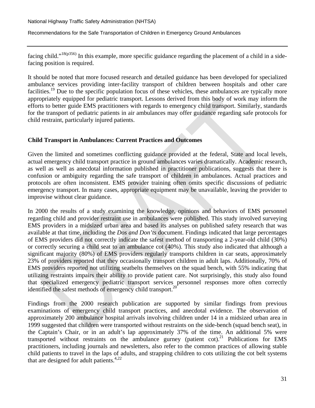facing child."<sup>18(p356)</sup> In this example, more specific guidance regarding the placement of a child in a sidefacing position is required.

It should be noted that more focused research and detailed guidance has been developed for specialized ambulance services providing inter-facility transport of children between hospitals and other care facilities.<sup>19</sup> Due to the specific population focus of these vehicles, these ambulances are typically more appropriately equipped for pediatric transport. Lessons derived from this body of work may inform the efforts to better guide EMS practitioners with regards to emergency child transport. Similarly, standards for the transport of pediatric patients in air ambulances may offer guidance regarding safe protocols for child restraint, particularly injured patients.

### **Child Transport in Ambulances: Current Practices and Outcomes**

Given the limited and sometimes conflicting guidance provided at the federal, State and local levels, actual emergency child transport practice in ground ambulances varies dramatically. Academic research, as well as well as anecdotal information published in practitioner publications, suggests that there is confusion or ambiguity regarding the safe transport of children in ambulances. Actual practices and protocols are often inconsistent. EMS provider training often omits specific discussions of pediatric emergency transport. In many cases, appropriate equipment may be unavailable, leaving the provider to improvise without clear guidance.

In 2000 the results of a study examining the knowledge, opinions and behaviors of EMS personnel regarding child and provider restraint use in ambulances were published. This study involved surveying EMS providers in a midsized urban area and based its analyses on published safety research that was available at that time, including the *Dos and Don'ts* document. Findings indicated that large percentages of EMS providers did not correctly indicate the safest method of transporting a 2-year-old child (30%) or correctly securing a child seat to an ambulance cot (40%). This study also indicated that although a significant majority (80%) of EMS providers regularly transports children in car seats, approximately 23% of providers reported that they occasionally transport children in adult laps. Additionally, 70% of EMS providers reported not utilizing seatbelts themselves on the squad bench, with 55% indicating that utilizing restraints impairs their ability to provide patient care. Not surprisingly, this study also found that specialized emergency pediatric transport services personnel responses more often correctly identified the safest methods of emergency child transport.<sup>20</sup>

Findings from the 2000 research publication are supported by similar findings from previous examinations of emergency child transport practices, and anecdotal evidence. The observation of approximately 200 ambulance hospital arrivals involving children under 14 in a midsized urban area in 1999 suggested that children were transported without restraints on the side-bench (squad bench seat), in the Captain's Chair, or in an adult's lap approximately 37% of the time. An additional 5% were transported without restraints on the ambulance gurney (patient cot).<sup>21</sup> Publications for EMS practitioners, including journals and newsletters, also refer to the common practices of allowing stable child patients to travel in the laps of adults, and strapping children to cots utilizing the cot belt systems that are designed for adult patients. $4,22$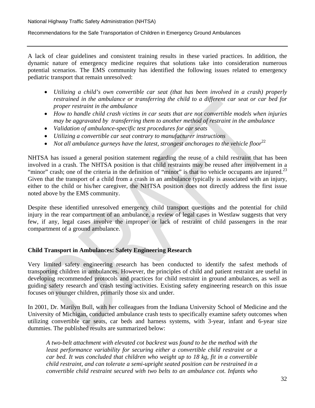A lack of clear guidelines and consistent training results in these varied practices. In addition, the dynamic nature of emergency medicine requires that solutions take into consideration numerous potential scenarios. The EMS community has identified the following issues related to emergency pediatric transport that remain unresolved:

- *Utilizing a child's own convertible car seat (that has been involved in a crash) properly restrained in the ambulance or transferring the child to a different car seat or car bed for proper restraint in the ambulance*
- *How to handle child crash victims in car seats that are not convertible models when injuries may be aggravated by transferring them to another method of restraint in the ambulance*
- *Validation of ambulance-specific test procedures for car seats*
- *Utilizing a convertible car seat contrary to manufacturer instructions*
- *Not all ambulance gurneys have the latest, strongest anchorages to the vehicle floor*<sup>22</sup>

NHTSA has issued a general position statement regarding the reuse of a child restraint that has been involved in a crash. The NHTSA position is that child restraints may be reused after involvement in a "minor" crash; one of the criteria in the definition of "minor" is that no vehicle occupants are injured.<sup>23</sup> Given that the transport of a child from a crash in an ambulance typically is associated with an injury, either to the child or his/her caregiver, the NHTSA position does not directly address the first issue noted above by the EMS community.

Despite these identified unresolved emergency child transport questions and the potential for child injury in the rear compartment of an ambulance, a review of legal cases in Westlaw suggests that very few, if any, legal cases involve the improper or lack of restraint of child passengers in the rear compartment of a ground ambulance.

### **Child Transport in Ambulances: Safety Engineering Research**

Very limited safety engineering research has been conducted to identify the safest methods of transporting children in ambulances. However, the principles of child and patient restraint are useful in developing recommended protocols and practices for child restraint in ground ambulances, as well as guiding safety research and crash testing activities. Existing safety engineering research on this issue focuses on younger children, primarily those six and under.

In 2001, Dr. Marilyn Bull, with her colleagues from the Indiana University School of Medicine and the University of Michigan, conducted ambulance crash tests to specifically examine safety outcomes when utilizing convertible car seats, car beds and harness systems, with 3-year, infant and 6-year size dummies. The published results are summarized below:

*A two-belt attachment with elevated cot backrest was found to be the method with the least performance variability for securing either a convertible child restraint or a car bed. It was concluded that children who weight up to 18 kg, fit in a convertible child restraint, and can tolerate a semi-upright seated position can be restrained in a convertible child restraint secured with two belts to an ambulance cot. Infants who*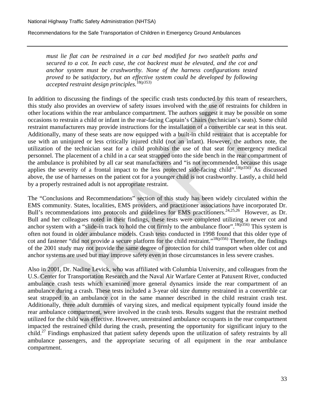*must lie flat can be restrained in a car bed modified for two seatbelt paths and secured to a cot. In each case, the cot backrest must be elevated, and the cot and anchor system must be crashworthy. None of the harness configurations tested proved to be satisfactory, but an effective system could be developed by following accepted restraint design principles.*18(p353)

In addition to discussing the findings of the specific crash tests conducted by this team of researchers, this study also provides an overview of safety issues involved with the use of restraints for children in other locations within the rear ambulance compartment. The authors suggest it may be possible on some occasions to restrain a child or infant in the rear-facing Captain's Chairs (technician's seats). Some child restraint manufacturers may provide instructions for the installation of a convertible car seat in this seat. Additionally, many of these seats are now equipped with a built-in child restraint that is acceptable for use with an uninjured or less critically injured child (not an infant). However, the authors note, the utilization of the technician seat for a child prohibits the use of that seat for emergency medical personnel. The placement of a child in a car seat strapped onto the side bench in the rear compartment of the ambulance is prohibited by all car seat manufacturers and "is not recommended, because this usage applies the severity of a frontal impact to the less protected side-facing child".<sup>18(p356)</sup> As discussed above, the use of harnesses on the patient cot for a younger child is not crashworthy. Lastly, a child held by a properly restrained adult is not appropriate restraint.

The "Conclusions and Recommendations" section of this study has been widely circulated within the EMS community. States, localities, EMS providers, and practitioner associations have incorporated Dr. Bull's recommendations into protocols and guidelines for EMS practitioners.<sup>24,25,26</sup> However, as Dr. Bull and her colleagues noted in their findings, these tests were completed utilizing a newer cot and anchor system with a "slide-in track to hold the cot firmly to the ambulance floor".  $\frac{18(p356)}{18(p356)}$  This system is often not found in older ambulance models. Crash tests conducted in 1998 found that this older type of cot and fastener "did not provide a secure platform for the child restraint."18(p356) Therefore, the findings of the 2001 study may not provide the same degree of protection for child transport when older cot and anchor systems are used but may improve safety even in those circumstances in less severe crashes.

Also in 2001, Dr. Nadine Levick, who was affiliated with Columbia University, and colleagues from the U.S. Center for Transportation Research and the Naval Air Warfare Center at Patuxent River, conducted ambulance crash tests which examined more general dynamics inside the rear compartment of an ambulance during a crash. These tests included a 3-year old size dummy restrained in a convertible car seat strapped to an ambulance cot in the same manner described in the child restraint crash test. Additionally, three adult dummies of varying sizes, and medical equipment typically found inside the rear ambulance compartment, were involved in the crash tests. Results suggest that the restraint method utilized for the child was effective. However, unrestrained ambulance occupants in the rear compartment impacted the restrained child during the crash, presenting the opportunity for significant injury to the child.<sup>27</sup> Findings emphasized that patient safety depends upon the utilization of safety restraints by all ambulance passengers, and the appropriate securing of all equipment in the rear ambulance compartment.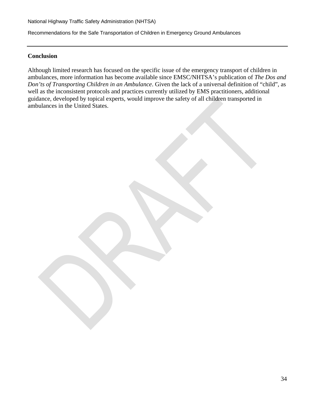### **Conclusion**

Although limited research has focused on the specific issue of the emergency transport of children in ambulances, more information has become available since EMSC/NHTSA's publication of *The Dos and Don'ts of Transporting Children in an Ambulance*. Given the lack of a universal definition of "child", as well as the inconsistent protocols and practices currently utilized by EMS practitioners, additional guidance, developed by topical experts, would improve the safety of all children transported in ambulances in the United States.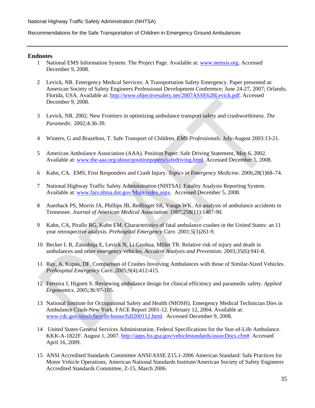### **Endnotes**

- 1 National EMS Information System. The Project Page. Available at: www.nemsis.org. Accessed December 9, 2008.
- 2 Levick, NR. Emergency Medical Services: A Transportation Safety Emergency. Paper presented at: American Society of Safety Engineers Professional Development Conference; June 24-27, 2007; Orlando, Florida, USA. Available at: http://www.objectivesafety.net/2007ASSE628Levick.pdf. Accessed December 9, 2008.
- 3 Levick, NR. 2002. New Frontiers in optimizing ambulance transport safety and crashworthiness. *The Paramedic.* 2002;4:36-39.
- 4 Winters, G and Brazelton, T. Safe Transport of Children. *EMS Professionals*. July-August 2003:13-21.
- 5 American Ambulance Association (AAA). Position Paper: Safe Driving Statement, May 6, 2002. Available at: www.the-aaa.org/about/positionpapers/safedriving.html. Accessed December 5, 2008.
- 6 Kahn, CA. EMS, First Responders and Crash Injury. *Topics in Emergency Medicine.* 2006;28(1)68–74.
- 7 National Highway Traffic Safety Administration (NHTSA). Fatality Analysis Reporting System. Available at: www.fars.nhtsa.dot.gov/Main/index.aspx. Accessed December 5, 2008.
- 8 Auerback PS, Morris JA, Phillips JB, Redlinger SR, Vaugn WK. An analysis of ambulance accidents in Tennessee*. Journal of American Medical Association.* 1987;258(11):1487-90.
- 9 Kahn, CA, Pirallo RG, Kuhn EM. Characteristics of fatal ambulance crashes in the United States: an 11 year retrospective analysis. *Prehospital Emergency Care.* 2001;5(3)261-9.
- 10 Becker L R, Zaloshnja E, Levick N, Li Guohua, Miller TR. Relative risk of injury and death in ambulances and other emergency vehicles. *Accident Analysis and Prevention*. 2003;35(6):941-8.
- 11 Ray, A, Kupas, DF. Comparison of Crashes Involving Ambulances with those of Similar-Sized Vehicles. *Prehospital Emergency Care*. 2005;9(4):412-415.
- 12 Ferreira J, Hignett S. Reviewing ambulance design for clinical efficiency and paramedic safety. *Applied Ergonomics*. 2005;36:97-105.
- 13 National Institute for Occupational Safety and Health (NIOSH). Emergency Medical Technician Dies in Ambulance Crash-New York. FACE Report 2001-12. February 12, 2004. Available at: www.cdc.gov/niosh/face/In-house/full200112.html. Accessed December 9, 2008.
- 14 United States General Services Administration. Federal Specifications for the Star-of-Life Ambulance. KKK-A-1822F. August 1, 2007. http://apps.fss.gsa.gov/vehiclestandards/assocDocs.cfm#. Accessed April 16, 2009.
- 15 ANSI Accredited Standards Committee ANSI/ASSE Z15.1-2006 American Standard: Safe Practices for Motor Vehicle Operations, American National Standards Institute/American Society of Safety Engineers Accredited Standards Committee, Z-15, March 2006.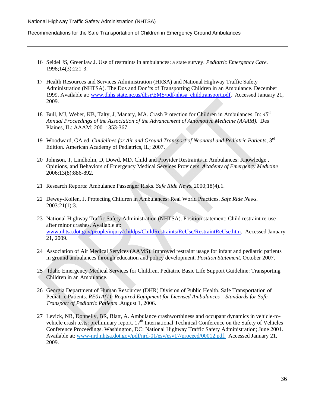- 16 Seidel JS, Greenlaw J. Use of restraints in ambulances: a state survey. *Pediatric Emergency Care.* 1998;14(3):221-3.
- 17 Health Resources and Services Administration (HRSA) and National Highway Traffic Safety Administration (NHTSA). The Dos and Don'ts of Transporting Children in an Ambulance. December 1999. Available at: www.dhhs.state.nc.us/dhsr/EMS/pdf/nhtsa\_childtransport.pdf. Accessed January 21, 2009.
- 18 Bull, MJ, Weber, KB, Talty, J, Manary, MA. Crash Protection for Children in Ambulances. In: *45th Annual Proceedings of the Association of the Advancement of Automotive Medicine (AAAM)*. Des Plaines, IL: AAAM; 2001: 353-367.
- 19 Woodward, GA ed. *Guidelines for Air and Ground Transport of Neonatal and Pediatric Patients,* 3rd Edition. American Academy of Pediatrics, IL; 2007.
- 20 Johnson, T, Lindholm, D, Dowd, MD. Child and Provider Restraints in Ambulances: Knowledge , Opinions, and Behaviors of Emergency Medical Services Providers. *Academy of Emergency Medicine*  2006:13(8):886-892.
- 21 Research Reports: Ambulance Passenger Risks. *Safe Ride News*. 2000;18(4).1.
- 22 Dewey-Kollen, J. Protecting Children in Ambulances: Real World Practices. *Safe Ride News.*  2003:21(1):3.
- 23 National Highway Traffic Safety Administration (NHTSA). Position statement: Child restraint re-use after minor crashes. Available at: www.nhtsa.dot.gov/people/injury/childps/ChildRestraints/ReUse/RestraintReUse.htm. Accessed January 21, 2009.
- 24 Association of Air Medical Services (AAMS). Improved restraint usage for infant and pediatric patients in ground ambulances through education and policy development. *Position Statement.* October 2007.
- 25 Idaho Emergency Medical Services for Children. Pediatric Basic Life Support Guideline: Transporting Children in an Ambulance.
- 26 Georgia Department of Human Resources (DHR) Division of Public Health. Safe Transportation of Pediatric Patients. *RE01A(1): Required Equipment for Licensed Ambulances – Standards for Safe Transport of Pediatric Patients .*August 1, 2006.
- 27 Levick, NR, Donnelly, BR, Blatt, A. Ambulance crashworthiness and occupant dynamics in vehicle-tovehicle crash tests: preliminary report.  $17<sup>th</sup>$  International Technical Conference on the Safety of Vehicles Conference Proceedings. Washington, DC: National Highway Traffic Safety Administration; June 2001. Available at: www-nrd.nhtsa.dot.gov/pdf/nrd-01/esv/esv17/proceed/00012.pdf. Accessed January 21, 2009.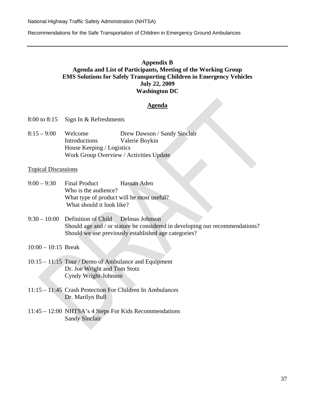### **Appendix B Agenda and List of Participants, Meeting of the Working Group EMS Solutions for Safely Transporting Children in Emergency Vehicles July 22, 2009 Washington DC**

### **Agenda**

- 8:00 to 8:15 Sign In & Refreshments
- 8:15 9:00 Welcome Drew Dawson / Sandy Sinclair Introductions Valerie Boykin House Keeping / Logistics Work Group Overview / Activities Update

Topical Discussions

- 9:00 9:30 Final Product Hassan Aden Who is the audience? What type of product will be most useful? What should it look like?
- 9:30 10:00 Definition of Child Delmas Johnson Should age and / or stature be considered in developing our recommendations? Should we use previously established age categories?

 $10:00 - 10:15$  Break

- 10:15 11:15 Tour / Demo of Ambulance and Equipment Dr. Joe Wright and Tom Stotz Cyndy Wright-Johnson
- 11:15 11:45 Crash Protection For Children In Ambulances Dr. Marilyn Bull
- 11:45 12:00 NHTSA's 4 Steps For Kids Recommendations Sandy Sinclair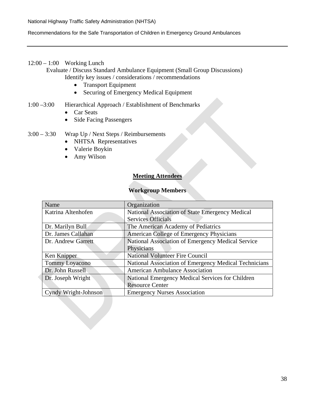### 12:00 – 1:00 Working Lunch

Evaluate / Discuss Standard Ambulance Equipment (Small Group Discussions) Identify key issues / considerations / recommendations

- Transport Equipment
- Securing of Emergency Medical Equipment
- 1:00 –3:00 Hierarchical Approach / Establishment of Benchmarks
	- Car Seats
	- Side Facing Passengers
- 3:00 3:30 Wrap Up / Next Steps / Reimbursements
	- NHTSA Representatives
		- Valerie Boykin
		- Amy Wilson

### **Meeting Attendees**

### **Workgroup Members**

| Name                 | Organization                                          |
|----------------------|-------------------------------------------------------|
| Katrina Altenhofen   | National Association of State Emergency Medical       |
|                      | <b>Services Officials</b>                             |
| Dr. Marilyn Bull     | The American Academy of Pediatrics                    |
| Dr. James Callahan   | American College of Emergency Physicians              |
| Dr. Andrew Garrett   | National Association of Emergency Medical Service     |
|                      | Physicians                                            |
| Ken Knipper          | <b>National Volunteer Fire Council</b>                |
| Tommy Loyacono       | National Association of Emergency Medical Technicians |
| Dr. John Russell     | <b>American Ambulance Association</b>                 |
| Dr. Joseph Wright    | National Emergency Medical Services for Children      |
|                      | <b>Resource Center</b>                                |
| Cyndy Wright-Johnson | <b>Emergency Nurses Association</b>                   |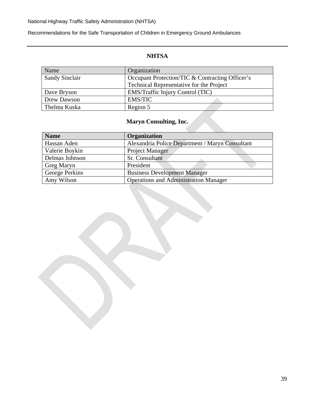# **NHTSA**

| Name                  | Organization                                    |
|-----------------------|-------------------------------------------------|
| <b>Sandy Sinclair</b> | Occupant Protection/TIC & Contracting Officer's |
|                       | Technical Representative for the Project        |
| Dave Bryson           | EMS/Traffic Injury Control (TIC)                |
| Drew Dawson           | <b>EMS/TIC</b>                                  |
| Thelma Kuska          | Region 5                                        |

## **Maryn Consulting, Inc.**

| <b>Name</b>    | <b>Organization</b>                             |
|----------------|-------------------------------------------------|
| Hassan Aden    | Alexandria Police Department / Maryn Consultant |
| Valerie Boykin | <b>Project Manager</b>                          |
| Delmas Johnson | Sr. Consultant                                  |
| Greg Maryn     | President                                       |
| George Perkins | <b>Business Development Manager</b>             |
| Amy Wilson     | <b>Operations and Administration Manager</b>    |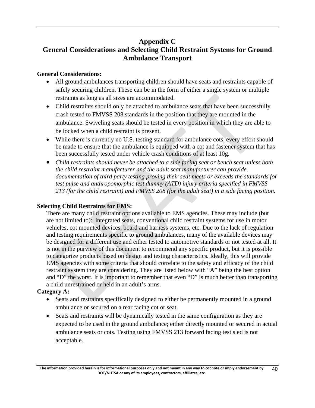## **Appendix C General Considerations and Selecting Child Restraint Systems for Ground Ambulance Transport**

## **General Considerations:**

- All ground ambulances transporting children should have seats and restraints capable of safely securing children. These can be in the form of either a single system or multiple restraints as long as all sizes are accommodated.
- Child restraints should only be attached to ambulance seats that have been successfully crash tested to FMVSS 208 standards in the position that they are mounted in the ambulance. Swiveling seats should be tested in every position in which they are able to be locked when a child restraint is present.
- While there is currently no U.S. testing standard for ambulance cots, every effort should be made to ensure that the ambulance is equipped with a cot and fastener system that has been successfully tested under vehicle crash conditions of at least 10g.
- *Child restraints should never be attached to a side facing seat or bench seat unless both the child restraint manufacturer and the adult seat manufacturer can provide documentation of third party testing proving their seat meets or exceeds the standards for test pulse and anthropomorphic test dummy (ATD) injury criteria specified in FMVSS 213 (for the child restraint) and FMVSS 208 (for the adult seat) in a side facing position.*

### **Selecting Child Restraints for EMS:**

There are many child restraint options available to EMS agencies. These may include (but are not limited to): integrated seats, conventional child restraint systems for use in motor vehicles, cot mounted devices, board and harness systems, etc. Due to the lack of regulation and testing requirements specific to ground ambulances, many of the available devices may be designed for a different use and either tested to automotive standards or not tested at all. It is not in the purview of this document to recommend any specific product, but it is possible to categorize products based on design and testing characteristics. Ideally, this will provide EMS agencies with some criteria that should correlate to the safety and efficacy of the child restraint system they are considering. They are listed below with "A" being the best option and "D" the worst. It is important to remember that even "D" is much better than transporting a child unrestrained or held in an adult's arms.

## **Category A:**

- Seats and restraints specifically designed to either be permanently mounted in a ground ambulance or secured on a rear facing cot or seat.
- Seats and restraints will be dynamically tested in the same configuration as they are expected to be used in the ground ambulance; either directly mounted or secured in actual ambulance seats or cots. Testing using FMVSS 213 forward facing test sled is not acceptable.

The information provided herein is for informational purposes only and not meant in any way to connote or imply endorsement by **DOT/NHTSA or any of its employees, contractors, affiliates, etc.** 40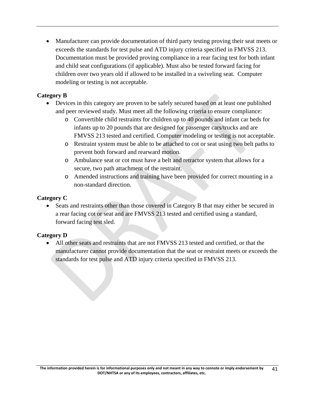• Manufacturer can provide documentation of third party testing proving their seat meets or exceeds the standards for test pulse and ATD injury criteria specified in FMVSS 213. Documentation must be provided proving compliance in a rear facing test for both infant and child seat configurations (if applicable). Must also be tested forward facing for children over two years old if allowed to be installed in a swiveling seat. Computer modeling or testing is not acceptable.

## **Category B**

- Devices in this category are proven to be safely secured based on at least one published and peer reviewed study. Must meet all the following criteria to ensure compliance:
	- o Convertible child restraints for children up to 40 pounds and infant car beds for infants up to 20 pounds that are designed for passenger cars/trucks and are FMVSS 213 tested and certified. Computer modeling or testing is not acceptable.
	- o Restraint system must be able to be attached to cot or seat using two belt paths to prevent both forward and rearward motion.
	- o Ambulance seat or cot must have a belt and retractor system that allows for a secure, two path attachment of the restraint.
	- o Amended instructions and training have been provided for correct mounting in a non-standard direction.

## **Category C**

• Seats and restraints other than those covered in Category B that may either be secured in a rear facing cot or seat and are FMVSS 213 tested and certified using a standard, forward facing test sled.

## **Category D**

• All other seats and restraints that are not FMVSS 213 tested and certified, or that the manufacturer cannot provide documentation that the seat or restraint meets or exceeds the standards for test pulse and ATD injury criteria specified in FMVSS 213.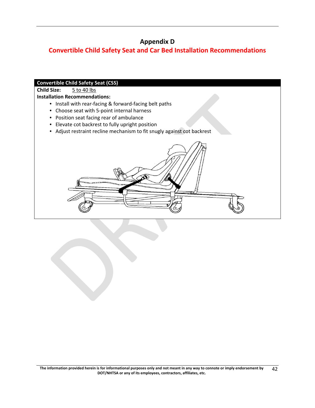# **Appendix D**

# **Convertible Child Safety Seat and Car Bed Installation Recommendations**

| <b>Convertible Child Safety Seat (CSS)</b>                              |  |  |  |  |
|-------------------------------------------------------------------------|--|--|--|--|
| <b>Child Size:</b><br>5 to 40 lbs                                       |  |  |  |  |
| <b>Installation Recommendations:</b>                                    |  |  |  |  |
| • Install with rear-facing & forward-facing belt paths                  |  |  |  |  |
| • Choose seat with 5-point internal harness                             |  |  |  |  |
| • Position seat facing rear of ambulance                                |  |  |  |  |
| Elevate cot backrest to fully upright position                          |  |  |  |  |
| • Adjust restraint recline mechanism to fit snugly against cot backrest |  |  |  |  |
|                                                                         |  |  |  |  |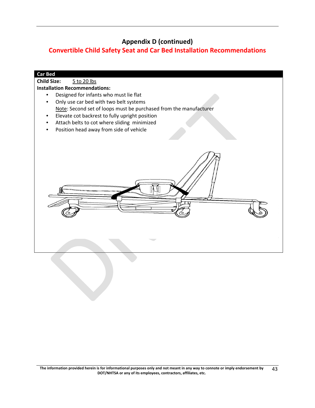# **Appendix D (continued)**

# **Convertible Child Safety Seat and Car Bed Installation Recommendations**

| <b>Car Bed</b>                                                    |  |  |  |
|-------------------------------------------------------------------|--|--|--|
| <b>Child Size:</b><br>5 to 20 lbs                                 |  |  |  |
| <b>Installation Recommendations:</b>                              |  |  |  |
| Designed for infants who must lie flat<br>$\bullet$               |  |  |  |
| Only use car bed with two belt systems                            |  |  |  |
| Note: Second set of loops must be purchased from the manufacturer |  |  |  |
| Elevate cot backrest to fully upright position                    |  |  |  |
| Attach belts to cot where sliding minimized                       |  |  |  |
| Position head away from side of vehicle                           |  |  |  |
|                                                                   |  |  |  |
|                                                                   |  |  |  |
|                                                                   |  |  |  |
|                                                                   |  |  |  |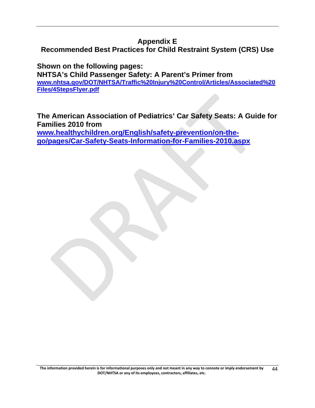# **Appendix E Recommended Best Practices for Child Restraint System (CRS) Use**

**Shown on the following pages: NHTSA's Child Passenger Safety: A Parent's Primer from www.nhtsa.gov/DOT/NHTSA/Traffic%20Injury%20Control/Articles/Associated%20 Files/4StepsFlyer.pdf**

**The American Association of Pediatrics' Car Safety Seats: A Guide for Families 2010 from** 

**www.healthychildren.org/English/safety-prevention/on-thego/pages/Car-Safety-Seats-Information-for-Families-2010.aspx**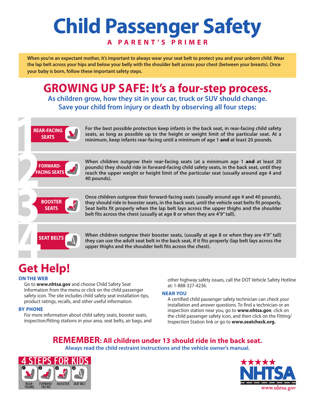# **Child Passenger Safety A P arent ' s pri m er**

**When you're an expectant mother, it's important to always wear your seat belt to protect you and your unborn child. Wear the lap belt across your hips and below your belly with the shoulder belt across your chest (between your breasts). Once your baby is born, follow these important safety steps.**

# **Growing Up Safe: It's a four-step process.**

**As children grow, how they sit in your car, truck or SUV should change. Save your child from injury or death by observing all four steps:**



**For the best possible protection keep infants in the back seat, in rear-facing child safety seats, as long as possible up to the height or weight limit of the particular seat. At a minimum, keep infants rear-facing until a minimum of age 1** and **at least 20 pounds.**



**When children outgrow their rear-facing seats (at a minimum age 1** and **at least 20 pounds) they should ride in forward-facing child safety seats, in the back seat, until they reach the upper weight or height limit of the particular seat (usually around age 4 and 40 pounds).**



**Once children outgrow their forward-facing seats (usually around age 4 and 40 pounds), they should ride in booster seats, in the back seat, until the vehicle seat belts fit properly. Seat belts fit properly when the lap belt lays across the upper thighs and the shoulder belt fits across the chest (usually at age 8 or when they are 4'9" tall).**



**SEAT BELTS** When children outgrow their booster seats, (usually at age 8 or when they are 4'9" tall) **they can use the adult seat belt in the back seat, if it fits properly (lap belt lays across the upper thighs and the shoulder belt fits across the chest).**

# **Get Help!**

### **On the web**

 Go to **www.nhtsa.gov** and choose Child Safety Seat Information from the menu or click on the child passenger safety icon. The site includes child safety seat installation tips, product ratings, recalls, and other useful information.

### **BY PHONE**

 For more information about child safety seats, booster seats, inspection/fitting stations in your area, seat belts, air bags, and other highway safety issues, call the DOT Vehicle Safety Hotline at: 1-888-327-4236.

### **NEAR YOU**

 A certified child passenger safety technician can check your installation and answer questions. To find a technician or an inspection station near you, go to **www.nhtsa.gov**, click on the child passenger safety icon, and then click on the Fitting/ Inspection Station link or go to **www.seatcheck.org.** 

# **REMEMBER: All children under 13 should ride in the back seat.**

**Always read the child restraint instructions and the vehicle owner's manual.**



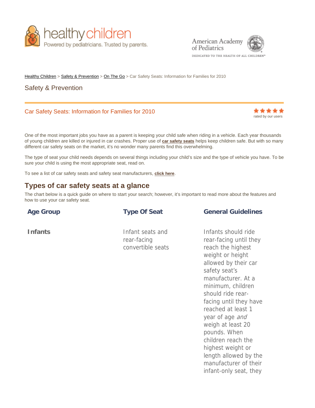





DEDICATED TO THE HEALTH OF ALL CHILDREN"

length allowed by the manufacturer of their infant-only seat, they

Healthy Children > Safety & Prevention > On The Go > Car Safety Seats: Information for Families for 2010

## Safety & Prevention

# Car Safety Seats: Information for Families for 2010 **Research and Car Safety Seats:** Information for Families for 2010

One of the most important jobs you have as a parent is keeping your child safe when riding in a vehicle. Each year thousands of young children are killed or injured in car crashes. Proper use of **car safety seats** helps keep children safe. But with so many different car safety seats on the market, it's no wonder many parents find this overwhelming.

The type of seat your child needs depends on several things including your child's size and the type of vehicle you have. To be sure your child is using the most appropriate seat, read on.

To see a list of car safety seats and safety seat manufacturers, **click here**.

## **Types of car safety seats at a glance**

The chart below is a quick guide on where to start your search; however, it's important to read more about the features and how to use your car safety seat.

| <b>Age Group</b> | <b>Type Of Seat</b>                                  | <b>General Guidelines</b>                                                                                                                                                                                                                                                                                                                          |
|------------------|------------------------------------------------------|----------------------------------------------------------------------------------------------------------------------------------------------------------------------------------------------------------------------------------------------------------------------------------------------------------------------------------------------------|
| <b>Infants</b>   | Infant seats and<br>rear-facing<br>convertible seats | Infants should ride<br>rear-facing until they<br>reach the highest<br>weight or height<br>allowed by their car<br>safety seat's<br>manufacturer. At a<br>minimum, children<br>should ride rear-<br>facing until they have<br>reached at least 1<br>year of age and<br>weigh at least 20<br>pounds. When<br>children reach the<br>highest weight or |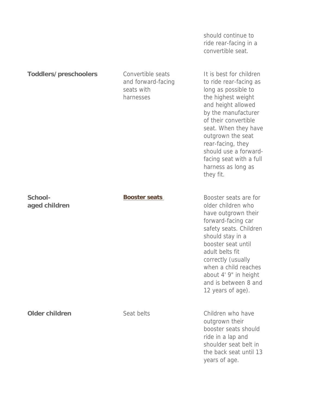should continue to ride rear-facing in a convertible seat.

| <b>Toddlers/preschoolers</b> | Convertible seats<br>and forward-facing<br>seats with<br>harnesses | It is best for children<br>to ride rear-facing as<br>long as possible to<br>the highest weight<br>and height allowed<br>by the manufacturer<br>of their convertible<br>seat. When they have<br>outgrown the seat<br>rear-facing, they<br>should use a forward-<br>facing seat with a full<br>harness as long as<br>they fit. |
|------------------------------|--------------------------------------------------------------------|------------------------------------------------------------------------------------------------------------------------------------------------------------------------------------------------------------------------------------------------------------------------------------------------------------------------------|
| School-<br>aged children     | <b>Booster seats</b>                                               | Booster seats are for<br>older children who<br>have outgrown their<br>forward-facing car<br>safety seats. Children<br>should stay in a<br>booster seat until<br>adult belts fit<br>correctly (usually<br>when a child reaches<br>about 4' 9" in height<br>and is between 8 and<br>12 years of age).                          |
| Older children               | Seat belts                                                         | Children who have<br>outgrown their<br>booster seats should<br>ride in a lap and<br>shoulder seat belt in<br>the back seat until 13<br>years of age.                                                                                                                                                                         |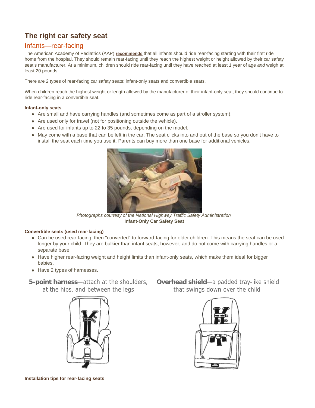# **The right car safety seat**

## Infants—rear-facing

The American Academy of Pediatrics (AAP) **recommends** that all infants should ride rear-facing starting with their first ride home from the hospital. They should remain rear-facing until they reach the highest weight or height allowed by their car safety seat's manufacturer. At a minimum, children should ride rear-facing until they have reached at least 1 year of age *and* weigh at least 20 pounds.

There are 2 types of rear-facing car safety seats: infant-only seats and convertible seats.

When children reach the highest weight or length allowed by the manufacturer of their infant-only seat, they should continue to ride rear-facing in a convertible seat.

### **Infant-only seats**

- Are small and have carrying handles (and sometimes come as part of a stroller system).
- Are used only for travel (not for positioning outside the vehicle).
- Are used for infants up to 22 to 35 pounds, depending on the model.
- May come with a base that can be left in the car. The seat clicks into and out of the base so you don't have to install the seat each time you use it. Parents can buy more than one base for additional vehicles.



*Photographs courtesy of the National Highway Traffic Safety Administration*  **Infant-Only Car Safety Seat**

### **Convertible seats (used rear-facing)**

- Can be used rear-facing, then "converted" to forward-facing for older children. This means the seat can be used longer by your child. They are bulkier than infant seats, however, and do not come with carrying handles or a separate base.
- Have higher rear-facing weight and height limits than infant-only seats, which make them ideal for bigger babies.
- Have 2 types of harnesses.
- at the hips, and between the legs



**5-point harness**—attach at the shoulders, **Overhead shield**—a padded tray-like shield that swings down over the child



**Installation tips for rear-facing seats**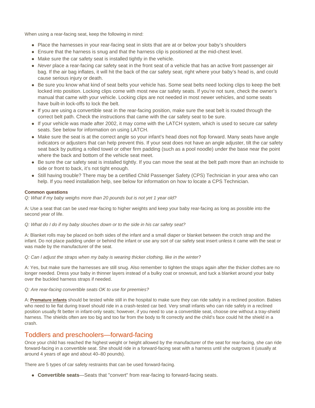When using a rear-facing seat, keep the following in mind:

- Place the harnesses in your rear-facing seat in slots that are at or below your baby's shoulders
- Ensure that the harness is snug and that the harness clip is positioned at the mid-chest level.
- Make sure the car safety seat is installed tightly in the vehicle.
- *Never* place a rear-facing car safety seat in the front seat of a vehicle that has an active front passenger air bag. If the air bag inflates, it will hit the back of the car safety seat, right where your baby's head is, and could cause serious injury or death.
- Be sure you know what kind of seat belts your vehicle has. Some seat belts need locking clips to keep the belt locked into position. Locking clips come with most new car safety seats. If you're not sure, check the owner's manual that came with your vehicle. Locking clips are not needed in most newer vehicles, and some seats have built-in lock-offs to lock the belt.
- If you are using a convertible seat in the rear-facing position, make sure the seat belt is routed through the correct belt path. Check the instructions that came with the car safety seat to be sure.
- If your vehicle was made after 2002, it may come with the LATCH system, which is used to secure car safety seats. See below for information on using LATCH.
- Make sure the seat is at the correct angle so your infant's head does not flop forward. Many seats have angle indicators or adjusters that can help prevent this. If your seat does not have an angle adjuster, tilt the car safety seat back by putting a rolled towel or other firm padding (such as a pool noodle) under the base near the point where the back and bottom of the vehicle seat meet.
- Be sure the car safety seat is installed tightly. If you can move the seat at the belt path more than an inchside to side or front to back, it's not tight enough.
- Still having trouble? There may be a certified Child Passenger Safety (CPS) Technician in your area who can help. If you need installation help, see below for information on how to locate a CPS Technician.

### **Common questions**

*Q: What if my baby weighs more than 20 pounds but is not yet 1 year old?*

A: Use a seat that can be used rear-facing to higher weights and keep your baby rear-facing as long as possible into the second year of life.

### *Q: What do I do if my baby slouches down or to the side in his car safety seat?*

A: Blanket rolls may be placed on both sides of the infant and a small diaper or blanket between the crotch strap and the infant. Do not place padding under or behind the infant or use any sort of car safety seat insert unless it came with the seat or was made by the manufacturer of the seat.

### *Q: Can I adjust the straps when my baby is wearing thicker clothing, like in the winter?*

A: Yes, but make sure the harnesses are still snug. Also remember to tighten the straps again after the thicker clothes are no longer needed. Dress your baby in thinner layers instead of a bulky coat or snowsuit, and tuck a blanket around your baby over the buckled harness straps if needed.

### *Q: Are rear-facing convertible seats OK to use for preemies?*

A: **Premature infants** should be tested while still in the hospital to make sure they can ride safely in a reclined position. Babies who need to lie flat during travel should ride in a crash-tested car bed. Very small infants who can ride safely in a reclined position usually fit better in infant-only seats; however, if you need to use a convertible seat, choose one without a tray-shield harness. The shields often are too big and too far from the body to fit correctly and the child's face could hit the shield in a crash.

### Toddlers and preschoolers—forward-facing

Once your child has reached the highest weight or height allowed by the manufacturer of the seat for rear-facing, she can ride forward-facing in a convertible seat. She should ride in a forward-facing seat with a harness until she outgrows it (usually at around 4 years of age and about 40–80 pounds).

There are 5 types of car safety restraints that can be used forward-facing.

• Convertible seats—Seats that "convert" from rear-facing to forward-facing seats.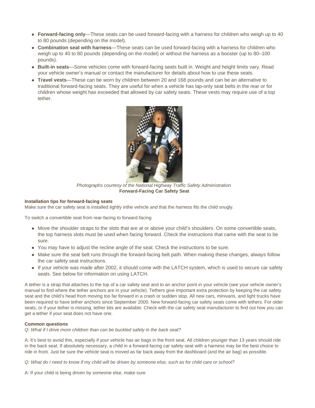- Forward-facing only—These seats can be used forward-facing with a harness for children who weigh up to 40 to 80 pounds (depending on the model).
- **Combination seat with harness**—These seats can be used forward-facing with a harness for children who weigh up to 40 to 80 pounds (depending on the model) or without the harness as a booster (up to 80–100 pounds).
- Built-in seats—Some vehicles come with forward-facing seats built in. Weight and height limits vary. Read your vehicle owner's manual or contact the manufacturer for details about how to use these seats.
- **Travel vests—These can be worn by children between 20 and 168 pounds and can be an alternative to** traditional forward-facing seats. They are useful for when a vehicle has lap-only seat belts in the rear or for children whose weight has exceeded that allowed by car safety seats. These vests may require use of a top tether.



*Photographs courtesy of the National Highway Traffic Safety Administration* **Forward-Facing Car Safety Seat**

### **Installation tips for forward-facing seats**

Make sure the car safety seat is installed tightly inthe vehicle and that the harness fits the child snugly.

To switch a convertible seat from rear-facing to forward-facing

- Move the shoulder straps to the slots that are at or above your child's shoulders. On some convertible seats, the top harness slots must be used when facing forward. Check the instructions that came with the seat to be sure.
- You may have to adjust the recline angle of the seat. Check the instructions to be sure.
- Make sure the seat belt runs through the forward-facing belt path. When making these changes, always follow the car safety seat instructions.
- If your vehicle was made after 2002, it should come with the LATCH system, which is used to secure car safety seats. See below for information on using LATCH.

A tether is a strap that attaches to the top of a car safety seat and to an anchor point in your vehicle (see your vehicle owner's manual to find where the tether anchors are in your vehicle). Tethers give important extra protection by keeping the car safety seat and the child's head from moving too far forward in a crash or sudden stop. All new cars, minivans, and light trucks have been required to have tether anchors since September 2000. New forward-facing car safety seats come with tethers. For older seats, or if your tether is missing, tether kits are available. Check with the car safety seat manufacturer to find out how you can get a tether if your seat does not have one.

### **Common questions**

*Q: What if I drive more children than can be buckled safely in the back seat?*

A: It's best to avoid this, especially if your vehicle has air bags in the front seat. All children younger than 13 years should ride in the back seat. If absolutely necessary, a child in a forward-facing car safety seat with a harness may be the best choice to ride in front. Just be sure the vehicle seat is moved as far back away from the dashboard (and the air bag) as possible.

*Q: What do I need to know if my child will be driven by someone else, such as for child care or school?*

A: If your child is being driven by someone else, make sure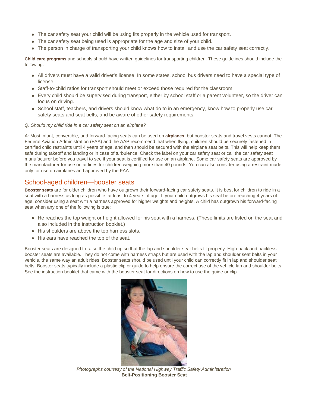- The car safety seat your child will be using fits properly in the vehicle used for transport.
- The car safety seat being used is appropriate for the age and size of your child.
- The person in charge of transporting your child knows how to install and use the car safety seat correctly.

**Child care programs** and schools should have written guidelines for transporting children. These guidelines should include the following:

- All drivers must have a valid driver's license. In some states, school bus drivers need to have a special type of license.
- Staff-to-child ratios for transport should meet or exceed those required for the classroom.
- Every child should be supervised during transport, either by school staff or a parent volunteer, so the driver can focus on driving.
- School staff, teachers, and drivers should know what do to in an emergency, know how to properly use car safety seats and seat belts, and be aware of other safety requirements.

### *Q: Should my child ride in a car safety seat on an airplane?*

A: Most infant, convertible, and forward-facing seats can be used on **airplanes**, but booster seats and travel vests cannot. The Federal Aviation Administration (FAA) and the AAP recommend that when flying, children should be securely fastened in certified child restraints until 4 years of age, and then should be secured with the airplane seat belts. This will help keep them safe during takeoff and landing or in case of turbulence. Check the label on your car safety seat or call the car safety seat manufacturer before you travel to see if your seat is certified for use on an airplane. Some car safety seats are approved by the manufacturer for use on airlines for children weighing more than 40 pounds. You can also consider using a restraint made only for use on airplanes and approved by the FAA.

## School-aged children—booster seats

**Booster seats** are for older children who have outgrown their forward-facing car safety seats. It is best for children to ride in a seat with a harness as long as possible, at least to 4 years of age. If your child outgrows his seat before reaching 4 years of age, consider using a seat with a harness approved for higher weights and heights. A child has outgrown his forward-facing seat when any one of the following is true:

- He reaches the top weight or height allowed for his seat with a harness. (These limits are listed on the seat and also included in the instruction booklet.)
- $\bullet$  His shoulders are above the top harness slots.
- His ears have reached the top of the seat.

Booster seats are designed to raise the child up so that the lap and shoulder seat belts fit properly. High-back and backless booster seats are available. They do not come with harness straps but are used with the lap and shoulder seat belts in your vehicle, the same way an adult rides. Booster seats should be used until your child can correctly fit in lap and shoulder seat belts. Booster seats typically include a plastic clip or guide to help ensure the correct use of the vehicle lap and shoulder belts. See the instruction booklet that came with the booster seat for directions on how to use the guide or clip.



*Photographs courtesy of the National Highway Traffic Safety Administration*  **Belt-Positioning Booster Seat**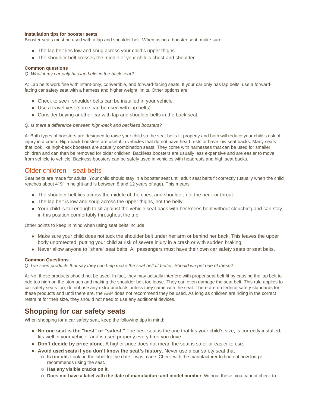### **Installation tips for booster seats**

Booster seats must be used with a lap and shoulder belt. When using a booster seat, make sure

- The lap belt lies low and snug across your child's upper thighs.
- The shoulder belt crosses the middle of your child's chest and shoulder.

### **Common questions**

*Q: What if my car only has lap belts in the back seat?*

A: Lap belts work fine with infant-only, convertible, and forward-facing seats. If your car only has lap belts, use a forwardfacing car safety seat with a harness and higher weight limits. Other options are

- Check to see if shoulder belts can be installed in your vehicle.
- Use a travel vest (some can be used with lap belts).
- Consider buying another car with lap and shoulder belts in the back seat.

### *Q: Is there a difference between high-back and backless boosters?*

A: Both types of boosters are designed to raise your child so the seat belts fit properly and both will reduce your child's risk of injury in a crash. High-back boosters are useful in vehicles that do not have head rests or have low seat backs. Many seats that look like high-back boosters are actually combination seats. They come with harnesses that can be used for smaller children and can then be removed for older children. Backless boosters are usually less expensive and are easier to move from vehicle to vehicle. Backless boosters can be safely used in vehicles with headrests and high seat backs.

### Older children—seat belts

Seat belts are made for adults. Your child should stay in a booster seat until adult seat belts fit correctly (usually when the child reaches about 4' 9" in height and is between 8 and 12 years of age). This means

- The shoulder belt lies across the middle of the chest and shoulder, not the neck or throat.
- The lap belt is low and snug across the upper thighs, not the belly.
- Your child is tall enough to sit against the vehicle seat back with her knees bent without slouching and can stay in this position comfortably throughout the trip.

Other points to keep in mind when using seat belts include

- Make sure your child does not tuck the shoulder belt under her arm or behind her back. This leaves the upper body unprotected, putting your child at risk of severe injury in a crash or with sudden braking.
- Never allow anyone to "share" seat belts. All passengers must have their own car safety seats or seat belts.

### **Common Questions**

*Q: I've seen products that say they can help make the seat belt fit better. Should we get one of these?*

A: No, these products should not be used. In fact, they may actually interfere with proper seat belt fit by causing the lap belt to ride too high on the stomach and making the shoulder belt too loose. They can even damage the seat belt. This rule applies to car safety seats too; do not use any extra products unless they came with the seat. There are no federal safety standards for these products and until there are, the AAP does not recommend they be used. As long as children are riding in the correct restraint for their size, they should not need to use any additional devices.

## **Shopping for car safety seats**

When shopping for a car safety seat, keep the following tips in mind:

- z **No one seat is the "best" or "safest."** The best seat is the one that fits your child's size, is correctly installed, fits well in your vehicle, and is used properly every time you drive.
- Don't decide by price alone. A higher price does not mean the seat is safer or easier to use.
- Avoid used seats if you don't know the seat's history. Never use a car safety seat that
	- { **Is too old.** Look on the label for the date it was made. Check with the manufacturer to find out how long it recommends using the seat.
	- { **Has any visible cracks on it.**
	- { **Does not have a label with the date of manufacture and model number.** Without these, you cannot check to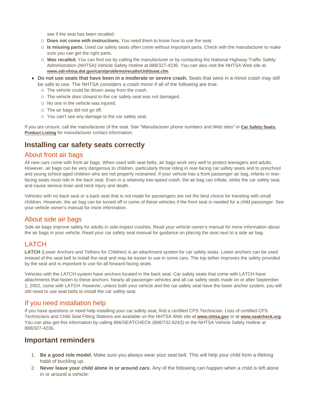see if the seat has been recalled.

- { **Does not come with instructions.** You need them to know how to use the seat.
- { **Is missing parts.** Used car safety seats often come without important parts. Check with the manufacturer to make sure you can get the right parts.
- { **Was recalled.** You can find out by calling the manufacturer or by contacting the National Highway Traffic Safety Administration (NHTSA) Vehicle Safety Hotline at 888/327-4236. You can also visit the NHTSA Web site at **www.odi-nhtsa.dot.gov/cars/problems/recalls/childseat.cfm**.
- Do not use seats that have been in a moderate or severe crash. Seats that were in a minor crash may still be safe to use. The NHTSA considers a crash minor if all of the following are true:
	- ${\circ}$  The vehicle could be driven away from the crash.
	- $\circ$  The vehicle door closest to the car safety seat was not damaged.
	- { No one in the vehicle was injured.
	- $\circ$  The air bags did not go off.
	- { You can't see any damage to the car safety seat.

If you are unsure, call the manufacturer of the seat. See "Manufacturer phone numbers and Web sites" in **Car Safety Seats: Product Listing** for manufacturer contact information.

## **Installing car safety seats correctly**

### About front air bags

All new cars come with front air bags. When used with seat belts, air bags work very well to protect teenagers and adults. However, air bags can be very dangerous to children, particularly those riding in rear-facing car safety seats and to preschool and young school-aged children who are not properly restrained. If your vehicle has a front passenger air bag, infants in rearfacing seats *must ride in the back seat*. Even in a relatively low-speed crash, the air bag can inflate, strike the car safety seat, and cause serious brain and neck injury and death.

Vehicles with no back seat or a back seat that is not made for passengers are not the best choice for traveling with small children. However, the air bag can be turned off in some of these vehicles if the front seat is needed for a child passenger. See your vehicle owner's manual for more information.

### About side air bags

Side air bags improve safety for adults in side-impact crashes. Read your vehicle owner's manual for more information about the air bags in your vehicle. Read your car safety seat manual for guidance on placing the seat next to a side air bag.

## LATCH

**LATCH** (Lower Anchors and Tethers for Children) is an attachment system for car safety seats. Lower anchors can be used instead of the seat belt to install the seat and may be easier to use in some cars. The top tether improves the safety provided by the seat and is important to use for all forward-facing seats.

Vehicles with the LATCH system have anchors located in the back seat. Car safety seats that come with LATCH have attachments that fasten to these anchors. Nearly all passenger vehicles and all car safety seats made on or after September 1, 2002, come with LATCH. However, unless both your vehicle *and* the car safety seat have the lower anchor system, you will still need to use seat belts to install the car safety seat.

## If you need installation help

If you have questions or need help installing your car safety seat, find a certified CPS Technician. Lists of certified CPS Technicians and Child Seat Fitting Stations are available on the NHTSA Web site at **www.nhtsa.gov** or at **www.seatcheck.org**. You can also get this information by calling 866/SEATCHECK (866/732-8243) or the NHTSA Vehicle Safety Hotline at 888/327-4236.

## **Important reminders**

- 1. **Be a good role model.** Make sure you always wear your seat belt. This will help your child form a lifelong habit of buckling up.
- 2. **Never leave your child alone in or around cars**. Any of the following can happen when a child is left alone in or around a vehicle: